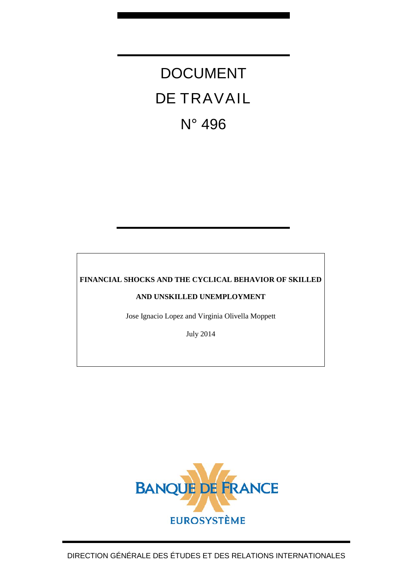# DOCUMENT DE TRAVAIL N° 496

## **FINANCIAL SHOCKS AND THE CYCLICAL BEHAVIOR OF SKILLED**

## **AND UNSKILLED UNEMPLOYMENT**

Jose Ignacio Lopez and Virginia Olivella Moppett

July 2014

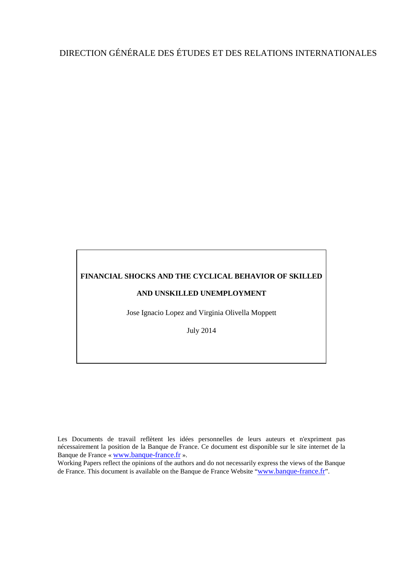## DIRECTION GÉNÉRALE DES ÉTUDES ET DES RELATIONS INTERNATIONALES

## **FINANCIAL SHOCKS AND THE CYCLICAL BEHAVIOR OF SKILLED**

## **AND UNSKILLED UNEMPLOYMENT**

Jose Ignacio Lopez and Virginia Olivella Moppett

July 2014

Les Documents de travail reflètent les idées personnelles de leurs auteurs et n'expriment pas nécessairement la position de la Banque de France. Ce document est disponible sur le site internet de la Banque de France « [www.banque-france.fr](http://www.banque-france.fr/) ».

Working Papers reflect the opinions of the authors and do not necessarily express the views of the Banque de France. This document is available on the Banque de France Website ["www.banque-france.fr"](http://www.banque-france.fr/).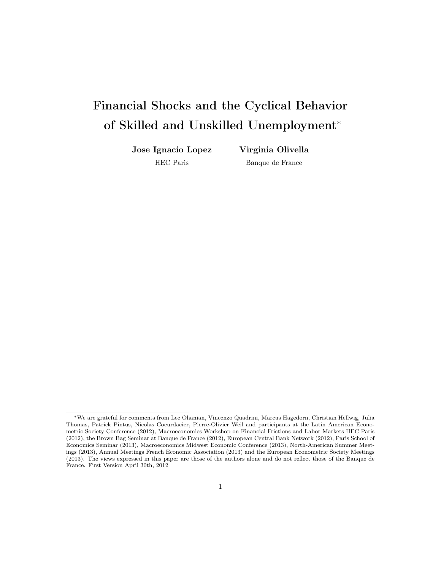## Financial Shocks and the Cyclical Behavior of Skilled and Unskilled Unemployment<sup>∗</sup>

Jose Ignacio Lopez

Virginia Olivella Banque de France

HEC Paris

<sup>∗</sup>We are grateful for comments from Lee Ohanian, Vincenzo Quadrini, Marcus Hagedorn, Christian Hellwig, Julia Thomas, Patrick Pintus, Nicolas Coeurdacier, Pierre-Olivier Weil and participants at the Latin American Econometric Society Conference (2012), Macroeconomics Workshop on Financial Frictions and Labor Markets HEC Paris (2012), the Brown Bag Seminar at Banque de France (2012), European Central Bank Network (2012), Paris School of Economics Seminar (2013), Macroeconomics Midwest Economic Conference (2013), North-American Summer Meetings (2013), Annual Meetings French Economic Association (2013) and the European Econometric Society Meetings (2013). The views expressed in this paper are those of the authors alone and do not reflect those of the Banque de France. First Version April 30th, 2012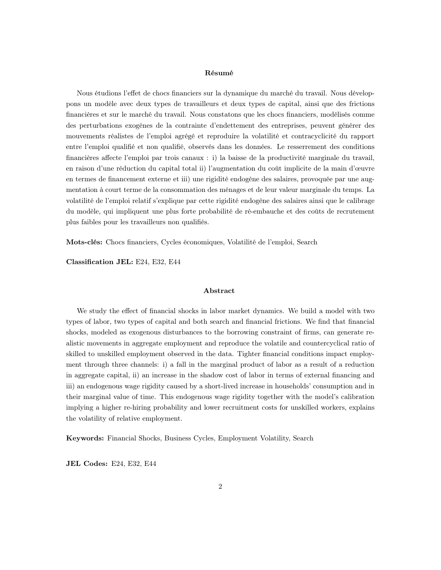#### Résumé

Nous étudions l'effet de chocs financiers sur la dynamique du marché du travail. Nous développons un modèle avec deux types de travailleurs et deux types de capital, ainsi que des frictions financières et sur le marché du travail. Nous constatons que les chocs financiers, modélisés comme des perturbations exogènes de la contrainte d'endettement des entreprises, peuvent générer des mouvements réalistes de l'emploi agrégé et reproduire la volatilité et contracyclicité du rapport entre l'emploi qualifié et non qualifié, observés dans les données. Le resserrement des conditions financières affecte l'emploi par trois canaux : i) la baisse de la productivité marginale du travail, en raison d'une réduction du capital total ii) l'augmentation du coût implicite de la main d'œuvre en termes de financement externe et iii) une rigidité endogène des salaires, provoquée par une augmentation à court terme de la consommation des ménages et de leur valeur marginale du temps. La volatilité de l'emploi relatif s'explique par cette rigidité endogène des salaires ainsi que le calibrage du modèle, qui impliquent une plus forte probabilité de ré-embauche et des coûts de recrutement plus faibles pour les travailleurs non qualifiés.

Mots-clés: Chocs financiers, Cycles économiques, Volatilité de l'emploi, Search

Classification JEL: E24, E32, E44

#### Abstract

We study the effect of financial shocks in labor market dynamics. We build a model with two types of labor, two types of capital and both search and financial frictions. We find that financial shocks, modeled as exogenous disturbances to the borrowing constraint of firms, can generate realistic movements in aggregate employment and reproduce the volatile and countercyclical ratio of skilled to unskilled employment observed in the data. Tighter financial conditions impact employment through three channels: i) a fall in the marginal product of labor as a result of a reduction in aggregate capital, ii) an increase in the shadow cost of labor in terms of external financing and iii) an endogenous wage rigidity caused by a short-lived increase in households' consumption and in their marginal value of time. This endogenous wage rigidity together with the model's calibration implying a higher re-hiring probability and lower recruitment costs for unskilled workers, explains the volatility of relative employment.

Keywords: Financial Shocks, Business Cycles, Employment Volatility, Search

JEL Codes: E24, E32, E44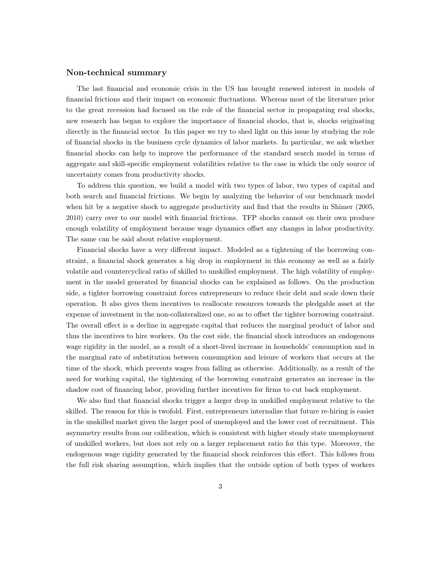#### Non-technical summary

The last financial and economic crisis in the US has brought renewed interest in models of financial frictions and their impact on economic fluctuations. Whereas most of the literature prior to the great recession had focused on the role of the financial sector in propagating real shocks, new research has began to explore the importance of financial shocks, that is, shocks originating directly in the financial sector. In this paper we try to shed light on this issue by studying the role of financial shocks in the business cycle dynamics of labor markets. In particular, we ask whether financial shocks can help to improve the performance of the standard search model in terms of aggregate and skill-specific employment volatilities relative to the case in which the only source of uncertainty comes from productivity shocks.

To address this question, we build a model with two types of labor, two types of capital and both search and financial frictions. We begin by analyzing the behavior of our benchmark model when hit by a negative shock to aggregate productivity and find that the results in Shimer (2005, 2010) carry over to our model with financial frictions. TFP shocks cannot on their own produce enough volatility of employment because wage dynamics offset any changes in labor productivity. The same can be said about relative employment.

Financial shocks have a very different impact. Modeled as a tightening of the borrowing constraint, a financial shock generates a big drop in employment in this economy as well as a fairly volatile and countercyclical ratio of skilled to unskilled employment. The high volatility of employment in the model generated by financial shocks can be explained as follows. On the production side, a tighter borrowing constraint forces entrepreneurs to reduce their debt and scale down their operation. It also gives them incentives to reallocate resources towards the pledgable asset at the expense of investment in the non-collateralized one, so as to offset the tighter borrowing constraint. The overall effect is a decline in aggregate capital that reduces the marginal product of labor and thus the incentives to hire workers. On the cost side, the financial shock introduces an endogenous wage rigidity in the model, as a result of a short-lived increase in households' consumption and in the marginal rate of substitution between consumption and leisure of workers that occurs at the time of the shock, which prevents wages from falling as otherwise. Additionally, as a result of the need for working capital, the tightening of the borrowing constraint generates an increase in the shadow cost of financing labor, providing further incentives for firms to cut back employment.

We also find that financial shocks trigger a larger drop in unskilled employment relative to the skilled. The reason for this is twofold. First, entrepreneurs internalize that future re-hiring is easier in the unskilled market given the larger pool of unemployed and the lower cost of recruitment. This asymmetry results from our calibration, which is consistent with higher steady state unemployment of unskilled workers, but does not rely on a larger replacement ratio for this type. Moreover, the endogenous wage rigidity generated by the financial shock reinforces this effect. This follows from the full risk sharing assumption, which implies that the outside option of both types of workers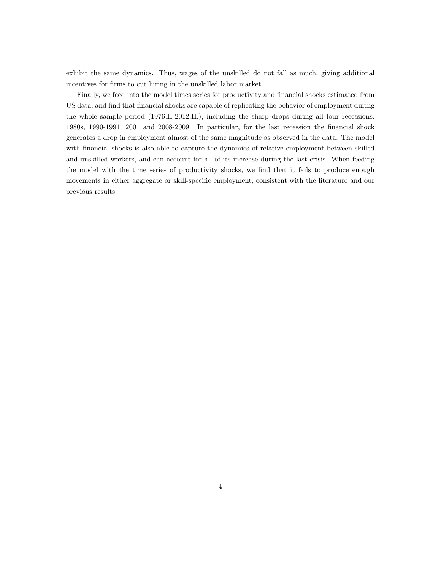exhibit the same dynamics. Thus, wages of the unskilled do not fall as much, giving additional incentives for firms to cut hiring in the unskilled labor market.

Finally, we feed into the model times series for productivity and financial shocks estimated from US data, and find that financial shocks are capable of replicating the behavior of employment during the whole sample period (1976.II-2012.II.), including the sharp drops during all four recessions: 1980s, 1990-1991, 2001 and 2008-2009. In particular, for the last recession the financial shock generates a drop in employment almost of the same magnitude as observed in the data. The model with financial shocks is also able to capture the dynamics of relative employment between skilled and unskilled workers, and can account for all of its increase during the last crisis. When feeding the model with the time series of productivity shocks, we find that it fails to produce enough movements in either aggregate or skill-specific employment, consistent with the literature and our previous results.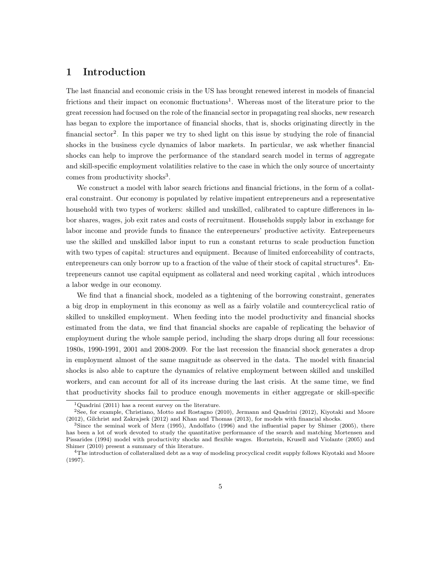## 1 Introduction

The last financial and economic crisis in the US has brought renewed interest in models of financial frictions and their impact on economic fluctuations<sup>1</sup>. Whereas most of the literature prior to the great recession had focused on the role of the financial sector in propagating real shocks, new research has began to explore the importance of financial shocks, that is, shocks originating directly in the financial sector<sup>2</sup>. In this paper we try to shed light on this issue by studying the role of financial shocks in the business cycle dynamics of labor markets. In particular, we ask whether financial shocks can help to improve the performance of the standard search model in terms of aggregate and skill-specific employment volatilities relative to the case in which the only source of uncertainty comes from productivity shocks<sup>3</sup>.

We construct a model with labor search frictions and financial frictions, in the form of a collateral constraint. Our economy is populated by relative impatient entrepreneurs and a representative household with two types of workers: skilled and unskilled, calibrated to capture differences in labor shares, wages, job exit rates and costs of recruitment. Households supply labor in exchange for labor income and provide funds to finance the entrepreneurs' productive activity. Entrepreneurs use the skilled and unskilled labor input to run a constant returns to scale production function with two types of capital: structures and equipment. Because of limited enforceability of contracts, entrepreneurs can only borrow up to a fraction of the value of their stock of capital structures<sup>4</sup>. Entrepreneurs cannot use capital equipment as collateral and need working capital , which introduces a labor wedge in our economy.

We find that a financial shock, modeled as a tightening of the borrowing constraint, generates a big drop in employment in this economy as well as a fairly volatile and countercyclical ratio of skilled to unskilled employment. When feeding into the model productivity and financial shocks estimated from the data, we find that financial shocks are capable of replicating the behavior of employment during the whole sample period, including the sharp drops during all four recessions: 1980s, 1990-1991, 2001 and 2008-2009. For the last recession the financial shock generates a drop in employment almost of the same magnitude as observed in the data. The model with financial shocks is also able to capture the dynamics of relative employment between skilled and unskilled workers, and can account for all of its increase during the last crisis. At the same time, we find that productivity shocks fail to produce enough movements in either aggregate or skill-specific

<sup>&</sup>lt;sup>1</sup>Quadrini (2011) has a recent survey on the literature.

<sup>2</sup>See, for example, Christiano, Motto and Rostagno (2010), Jermann and Quadrini (2012), Kiyotaki and Moore (2012), Gilchrist and Zakrajsek (2012) and Khan and Thomas (2013), for models with financial shocks.

<sup>&</sup>lt;sup>3</sup>Since the seminal work of Merz (1995), Andolfato (1996) and the influential paper by Shimer (2005), there has been a lot of work devoted to study the quantitative performance of the search and matching Mortensen and Pissarides (1994) model with productivity shocks and flexible wages. Hornstein, Krusell and Violante (2005) and Shimer (2010) present a summary of this literature.

 $^{4}$ The introduction of collateralized debt as a way of modeling procyclical credit supply follows Kiyotaki and Moore (1997).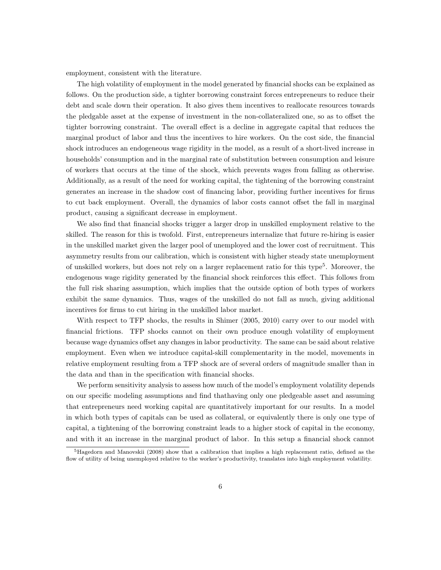employment, consistent with the literature.

The high volatility of employment in the model generated by financial shocks can be explained as follows. On the production side, a tighter borrowing constraint forces entrepreneurs to reduce their debt and scale down their operation. It also gives them incentives to reallocate resources towards the pledgable asset at the expense of investment in the non-collateralized one, so as to offset the tighter borrowing constraint. The overall effect is a decline in aggregate capital that reduces the marginal product of labor and thus the incentives to hire workers. On the cost side, the financial shock introduces an endogeneous wage rigidity in the model, as a result of a short-lived increase in households' consumption and in the marginal rate of substitution between consumption and leisure of workers that occurs at the time of the shock, which prevents wages from falling as otherwise. Additionally, as a result of the need for working capital, the tightening of the borrowing constraint generates an increase in the shadow cost of financing labor, providing further incentives for firms to cut back employment. Overall, the dynamics of labor costs cannot offset the fall in marginal product, causing a significant decrease in employment.

We also find that financial shocks trigger a larger drop in unskilled employment relative to the skilled. The reason for this is twofold. First, entrepreneurs internalize that future re-hiring is easier in the unskilled market given the larger pool of unemployed and the lower cost of recruitment. This asymmetry results from our calibration, which is consistent with higher steady state unemployment of unskilled workers, but does not rely on a larger replacement ratio for this type<sup>5</sup>. Moreover, the endogenous wage rigidity generated by the financial shock reinforces this effect. This follows from the full risk sharing assumption, which implies that the outside option of both types of workers exhibit the same dynamics. Thus, wages of the unskilled do not fall as much, giving additional incentives for firms to cut hiring in the unskilled labor market.

With respect to TFP shocks, the results in Shimer (2005, 2010) carry over to our model with financial frictions. TFP shocks cannot on their own produce enough volatility of employment because wage dynamics offset any changes in labor productivity. The same can be said about relative employment. Even when we introduce capital-skill complementarity in the model, movements in relative employment resulting from a TFP shock are of several orders of magnitude smaller than in the data and than in the specification with financial shocks.

We perform sensitivity analysis to assess how much of the model's employment volatility depends on our specific modeling assumptions and find thathaving only one pledgeable asset and assuming that entrepreneurs need working capital are quantitatively important for our results. In a model in which both types of capitals can be used as collateral, or equivalently there is only one type of capital, a tightening of the borrowing constraint leads to a higher stock of capital in the economy, and with it an increase in the marginal product of labor. In this setup a financial shock cannot

<sup>5</sup>Hagedorn and Manovskii (2008) show that a calibration that implies a high replacement ratio, defined as the flow of utility of being unemployed relative to the worker's productivity, translates into high employment volatility.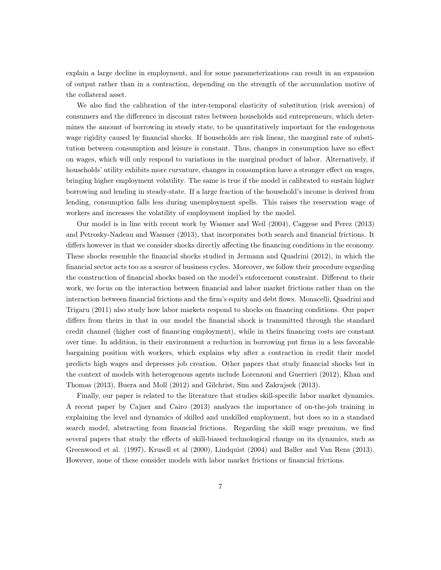explain a large decline in employment, and for some parameterizations can result in an expansion of output rather than in a contraction, depending on the strength of the accumulation motive of the collateral asset.

We also find the calibration of the inter-temporal elasticity of substitution (risk aversion) of consumers and the difference in discount rates between households and entrepreneurs, which determines the amount of borrowing in steady state, to be quantitatively important for the endogenous wage rigidity caused by financial shocks. If households are risk linear, the marginal rate of substitution between consumption and leisure is constant. Thus, changes in consumption have no effect on wages, which will only respond to variations in the marginal product of labor. Alternatively, if households' utility exhibits more curvature, changes in consumption have a stronger effect on wages, bringing higher employment volatility. The same is true if the model is calibrated to sustain higher borrowing and lending in steady-state. If a large fraction of the household's income is derived from lending, consumption falls less during unemployment spells. This raises the reservation wage of workers and increases the volatility of employment implied by the model.

Our model is in line with recent work by Wasmer and Weil (2004), Caggese and Perez (2013) and Petrosky-Nadeau and Wasmer (2013), that incorporates both search and financial frictions. It differs however in that we consider shocks directly affecting the financing conditions in the economy. These shocks resemble the financial shocks studied in Jermann and Quadrini (2012), in which the financial sector acts too as a source of business cycles. Moreover, we follow their procedure regarding the construction of financial shocks based on the model's enforcement constraint. Different to their work, we focus on the interaction between financial and labor market frictions rather than on the interaction between financial frictions and the firm's equity and debt flows. Monacelli, Quadrini and Trigaru (2011) also study how labor markets respond to shocks on financing conditions. Our paper differs from theirs in that in our model the financial shock is transmitted through the standard credit channel (higher cost of financing employment), while in theirs financing costs are constant over time. In addition, in their environment a reduction in borrowing put firms in a less favorable bargaining position with workers, which explains why after a contraction in credit their model predicts high wages and depresses job creation. Other papers that study financial shocks but in the context of models with heterogenous agents include Lorenzoni and Guerrieri (2012), Khan and Thomas (2013), Buera and Moll (2012) and Gilchrist, Sim and Zakrajsek (2013).

Finally, our paper is related to the literature that studies skill-specific labor market dynamics. A recent paper by Cajner and Cairo (2013) analyzes the importance of on-the-job training in explaining the level and dynamics of skilled and unskilled employment, but does so in a standard search model, abstracting from financial frictions. Regarding the skill wage premium, we find several papers that study the effects of skill-biased technological change on its dynamics, such as Greenwood et al. (1997), Krusell et al (2000), Lindquist (2004) and Baller and Van Rens (2013). However, none of these consider models with labor market frictions or financial frictions.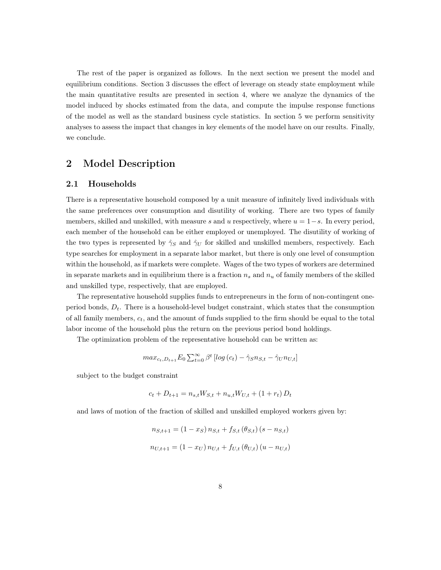The rest of the paper is organized as follows. In the next section we present the model and equilibrium conditions. Section 3 discusses the effect of leverage on steady state employment while the main quantitative results are presented in section 4, where we analyze the dynamics of the model induced by shocks estimated from the data, and compute the impulse response functions of the model as well as the standard business cycle statistics. In section 5 we perform sensitivity analyses to assess the impact that changes in key elements of the model have on our results. Finally, we conclude.

## 2 Model Description

#### 2.1 Households

There is a representative household composed by a unit measure of infinitely lived individuals with the same preferences over consumption and disutility of working. There are two types of family members, skilled and unskilled, with measure s and u respectively, where  $u = 1-s$ . In every period, each member of the household can be either employed or unemployed. The disutility of working of the two types is represented by  $\hat{\gamma}_S$  and  $\hat{\gamma}_U$  for skilled and unskilled members, respectively. Each type searches for employment in a separate labor market, but there is only one level of consumption within the household, as if markets were complete. Wages of the two types of workers are determined in separate markets and in equilibrium there is a fraction  $n_s$  and  $n_u$  of family members of the skilled and unskilled type, respectively, that are employed.

The representative household supplies funds to entrepreneurs in the form of non-contingent oneperiod bonds,  $D_t$ . There is a household-level budget constraint, which states that the consumption of all family members,  $c_t$ , and the amount of funds supplied to the firm should be equal to the total labor income of the household plus the return on the previous period bond holdings.

The optimization problem of the representative household can be written as:

$$
max_{c_t,D_{t+1}} E_0 \sum_{t=0}^{\infty} \beta^t \left[ log(c_t) - \hat{\gamma}_S n_{S,t} - \hat{\gamma}_U n_{U,t} \right]
$$

subject to the budget constraint

$$
c_t + D_{t+1} = n_{s,t}W_{S,t} + n_{u,t}W_{U,t} + (1 + r_t)D_t
$$

and laws of motion of the fraction of skilled and unskilled employed workers given by:

$$
n_{S,t+1} = (1 - x_S) n_{S,t} + f_{S,t} (\theta_{S,t}) (s - n_{S,t})
$$
  

$$
n_{U,t+1} = (1 - x_U) n_{U,t} + f_{U,t} (\theta_{U,t}) (u - n_{U,t})
$$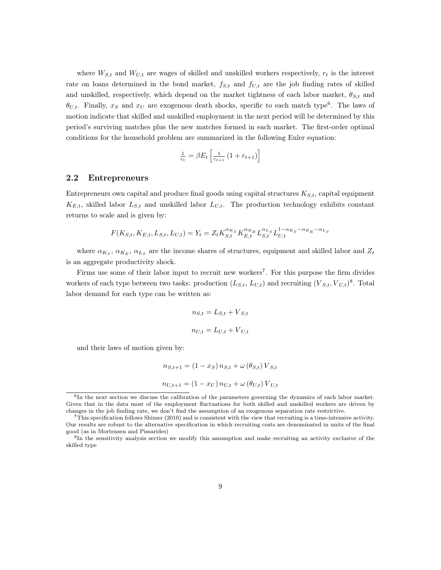where  $W_{S,t}$  and  $W_{U,t}$  are wages of skilled and unskilled workers respectively,  $r_t$  is the interest rate on loans determined in the bond market,  $f_{S,t}$  and  $f_{U,t}$  are the job finding rates of skilled and unskilled, respectively, which depend on the market tightness of each labor market,  $\theta_{S,t}$  and  $\theta_{U,t}$ . Finally,  $x_S$  and  $x_U$  are exogenous death shocks, specific to each match type<sup>6</sup>. The laws of motion indicate that skilled and unskilled employment in the next period will be determined by this period's surviving matches plus the new matches formed in each market. The first-order optimal conditions for the household problem are summarized in the following Euler equation:

$$
\frac{1}{c_t} = \beta E_t \left[ \frac{1}{c_{t+1}} \left( 1 + r_{t+1} \right) \right]
$$

#### 2.2 Entrepreneurs

Entrepreneurs own capital and produce final goods using capital structures  $K_{S,t}$ , capital equipment  $K_{E,t}$ , skilled labor  $L_{S,t}$  and unskilled labor  $L_{U,t}$ . The production technology exhibits constant returns to scale and is given by:

$$
F(K_{S,t}, K_{E,t}, L_{S,t}, L_{U,t}) = Y_t = Z_t K_{S,t}^{\alpha_{K_S}} K_{E,t}^{\alpha_{K_E}} L_{S,t}^{\alpha_{L_S}} L_{U,t}^{1-\alpha_{K_S}-\alpha_{K_E}-\alpha_{L_S}}
$$

where  $\alpha_{K_S}, \alpha_{K_E}, \alpha_{L_S}$  are the income shares of structures, equipment and skilled labor and  $Z_t$ is an aggregate productivity shock.

Firms use some of their labor input to recruit new workers<sup>7</sup>. For this purpose the firm divides workers of each type between two tasks: production  $(L_{S,t}, L_{U,t})$  and recruiting  $(V_{S,t}, V_{U,t})^8$ . Total labor demand for each type can be written as:

$$
n_{S,t} = L_{S,t} + V_{S,t}
$$

$$
n_{U,t} = L_{U,t} + V_{U,t}
$$

and their laws of motion given by:

$$
n_{S,t+1} = (1 - x_S) n_{S,t} + \omega (\theta_{S,t}) V_{S,t}
$$

$$
n_{U,t+1} = (1 - x_U) n_{U,t} + \omega (\theta_{U,t}) V_{U,t}
$$

<sup>6</sup> In the next section we discuss the calibration of the parameters governing the dynamics of each labor market. Given that in the data most of the employment fluctuations for both skilled and unskilled workers are driven by changes in the job finding rate, we don't find the assumption of an exogenous separation rate restrictive.

<sup>7</sup>This specification follows Shimer (2010) and is consistent with the view that recruiting is a time-intensive activity. Our results are robust to the alternative specification in which recruiting costs are denominated in units of the final good (as in Mortensen and Pissarides)

<sup>8</sup> In the sensitivity analysis section we modify this assumption and make recruiting an activity exclusive of the skilled type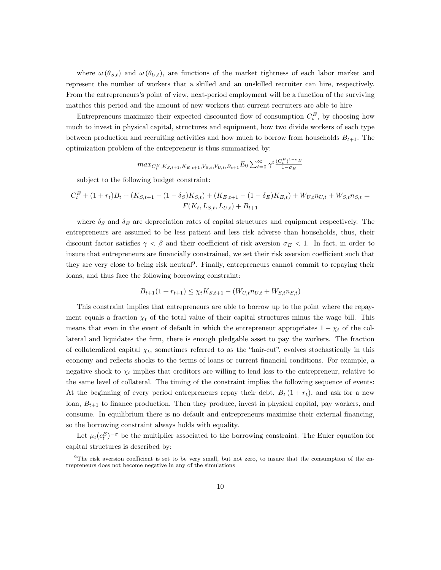where  $\omega(\theta_{S,t})$  and  $\omega(\theta_{U,t})$ , are functions of the market tightness of each labor market and represent the number of workers that a skilled and an unskilled recruiter can hire, respectively. From the entrepreneurs's point of view, next-period employment will be a function of the surviving matches this period and the amount of new workers that current recruiters are able to hire

Entrepreneurs maximize their expected discounted flow of consumption  $C_t^E$ , by choosing how much to invest in physical capital, structures and equipment, how two divide workers of each type between production and recruiting activities and how much to borrow from households  $B_{t+1}$ . The optimization problem of the entrepreneur is thus summarized by:

$$
max_{C_t^E, K_{S,t+1}, K_{E,t+1}, V_{S,t}, V_{U,t}, B_{t+1}} E_0 \sum_{t=0}^{\infty} \gamma^t \frac{(C_t^E)^{1-\sigma_E}}{1-\sigma_E}
$$

subject to the following budget constraint:

$$
C_t^E + (1+r_t)B_t + (K_{S,t+1} - (1-\delta_S)K_{S,t}) + (K_{E,t+1} - (1-\delta_E)K_{E,t}) + W_{U,t}n_{U,t} + W_{S,t}n_{S,t} = F(K_t, L_{S,t}, L_{U,t}) + B_{t+1}
$$

where  $\delta_S$  and  $\delta_E$  are depreciation rates of capital structures and equipment respectively. The entrepreneurs are assumed to be less patient and less risk adverse than households, thus, their discount factor satisfies  $\gamma < \beta$  and their coefficient of risk aversion  $\sigma_E < 1$ . In fact, in order to insure that entrepreneurs are financially constrained, we set their risk aversion coefficient such that they are very close to being risk neutral<sup>9</sup>. Finally, entrepreneurs cannot commit to repaying their loans, and thus face the following borrowing constraint:

$$
B_{t+1}(1 + r_{t+1}) \le \chi_t K_{S,t+1} - (W_{U,t} n_{U,t} + W_{S,t} n_{S,t})
$$

This constraint implies that entrepreneurs are able to borrow up to the point where the repayment equals a fraction  $\chi_t$  of the total value of their capital structures minus the wage bill. This means that even in the event of default in which the entrepreneur appropriates  $1 - \chi_t$  of the collateral and liquidates the firm, there is enough pledgable asset to pay the workers. The fraction of collateralized capital  $\chi_t$ , sometimes referred to as the "hair-cut", evolves stochastically in this economy and reflects shocks to the terms of loans or current financial conditions. For example, a negative shock to  $\chi_t$  implies that creditors are willing to lend less to the entrepreneur, relative to the same level of collateral. The timing of the constraint implies the following sequence of events: At the beginning of every period entrepreneurs repay their debt,  $B_t(1 + r_t)$ , and ask for a new loan,  $B_{t+1}$  to finance production. Then they produce, invest in physical capital, pay workers, and consume. In equilibrium there is no default and entrepreneurs maximize their external financing, so the borrowing constraint always holds with equality.

Let  $\mu_t(c_t^E)^{-\sigma}$  be the multiplier associated to the borrowing constraint. The Euler equation for capital structures is described by:

 $9$ The risk aversion coefficient is set to be very small, but not zero, to insure that the consumption of the entrepreneurs does not become negative in any of the simulations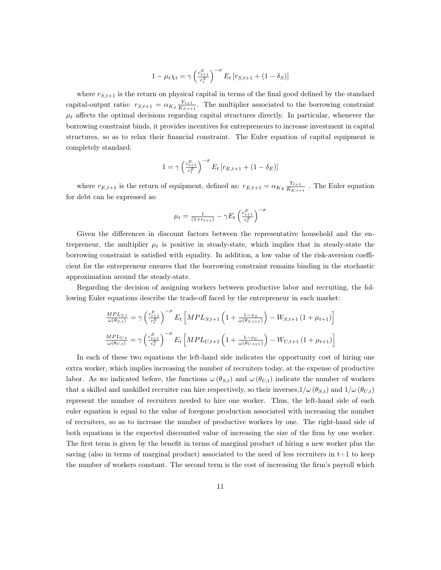$$
1 - \mu_t \chi_t = \gamma \left(\frac{c_{t+1}^E}{c_t^E}\right)^{-\sigma} E_t \left[r_{S,t+1} + (1 - \delta_S)\right]
$$

where  $r_{S,t+1}$  is the return on physical capital in terms of the final good defined by the standard capital-output ratio:  $r_{S,t+1} = \alpha_{K_S} \frac{Y_{t+1}}{K_{S,t+1}}$  $\frac{Y_{t+1}}{K_{S,t+1}}$ . The multiplier associated to the borrowing constraint  $\mu_t$  affects the optimal decisions regarding capital structures directly. In particular, whenever the borrowing constraint binds, it provides incentives for entrepreneurs to increase investment in capital structures, so as to relax their financial constraint. The Euler equation of capital equipment is completely standard:

$$
1 = \gamma \left(\frac{c_{t+1}^E}{c_t^E}\right)^{-\sigma} E_t \left[r_{E,t+1} + (1 - \delta_E)\right]
$$

where  $r_{E,t+1}$  is the return of equipment, defined as:  $r_{E,t+1} = \alpha_{K_E} \frac{Y_{t+1}}{K_{E,t+1}}$  $\frac{r_{t+1}}{K_{E,t+1}}$ . The Euler equation for debt can be expressed as:

$$
\mu_t = \tfrac{1}{(1+r_{t+1})} - \gamma E_t \left( \tfrac{c_{t+1}^E}{c_t^E} \right)^{-\sigma}
$$

Given the differences in discount factors between the representative household and the entrepreneur, the multiplier  $\mu_t$  is positive in steady-state, which implies that in steady-state the borrowing constraint is satisfied with equality. In addition, a low value of the risk-aversion coefficient for the entrepreneur ensures that the borrowing constraint remains binding in the stochastic approximation around the steady-state.

Regarding the decision of assigning workers between productive labor and recruiting, the following Euler equations describe the trade-off faced by the entrepreneur in each market:

$$
\frac{MPL_{S,t}}{\omega(\theta_{S,t})} = \gamma \left(\frac{c_{t+1}^E}{c_t^E}\right)^{-\sigma} E_t \left[ MPL_{S,t+1} \left(1 + \frac{1-x_S}{\omega(\theta_{S,t+1})}\right) - W_{S,t+1} \left(1 + \mu_{t+1}\right) \right]
$$
\n
$$
\frac{MPL_{U,t}}{\omega(\theta_{U,t})} = \gamma \left(\frac{c_{t+1}^E}{c_t^E}\right)^{-\sigma} E_t \left[ MPL_{U,t+1} \left(1 + \frac{1-x_U}{\omega(\theta_{U,t+1})}\right) - W_{U,t+1} \left(1 + \mu_{t+1}\right) \right]
$$

In each of these two equations the left-hand side indicates the opportunity cost of hiring one extra worker, which implies increasing the number of recruiters today, at the expense of productive labor. As we indicated before, the functions  $\omega(\theta_{S,t})$  and  $\omega(\theta_{U,t})$  indicate the number of workers that a skilled and unskilled recruiter can hire respectively, so their inverses,  $1/\omega(\theta_{S,t})$  and  $1/\omega(\theta_{U,t})$ represent the number of recruiters needed to hire one worker. Thus, the left-hand side of each euler equation is equal to the value of foregone production associated with increasing the number of recruiters, so as to increase the number of productive workers by one. The right-hand side of both equations is the expected discounted value of increasing the size of the firm by one worker. The first term is given by the benefit in terms of marginal product of hiring a new worker plus the saving (also in terms of marginal product) associated to the need of less recruiters in  $t+1$  to keep the number of workers constant. The second term is the cost of increasing the firm's payroll which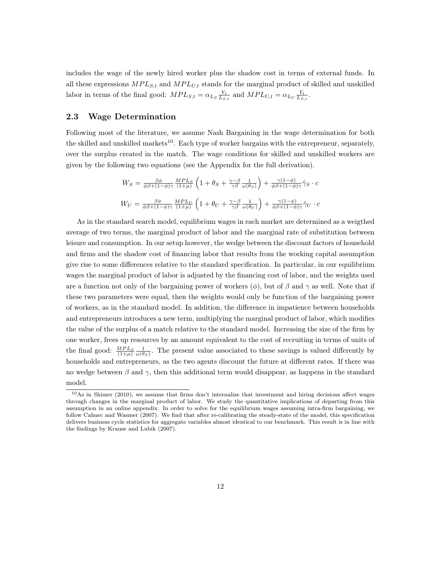includes the wage of the newly hired worker plus the shadow cost in terms of external funds. In all these expressions  $MPL_{S,t}$  and  $MPL_{U,t}$  stands for the marginal product of skilled and unskilled labor in terms of the final good:  $MPL_{S,t} = \alpha_{L_S} \frac{Y_t}{L_{S,t}}$  and  $MPL_{U,t} = \alpha_{L_U} \frac{Y_t}{L_{S,t}}$ .

#### 2.3 Wage Determination

Following most of the literature, we assume Nash Bargaining in the wage determination for both the skilled and unskilled markets<sup>10</sup>. Each type of worker bargains with the entrepreneur, separately, over the surplus created in the match. The wage conditions for skilled and unskilled workers are given by the following two equations (see the Appendix for the full derivation).

$$
W_S = \frac{\beta \phi}{\phi \beta + (1 - \phi)\gamma} \frac{MPL_S}{(1 + \mu)} \left( 1 + \theta_S + \frac{\gamma - \beta}{\gamma \beta} \frac{1}{\omega(\theta_S)} \right) + \frac{\gamma (1 - \phi)}{\phi \beta + (1 - \phi)\gamma} \hat{\gamma}_S \cdot c
$$
  

$$
W_U = \frac{\beta \phi}{\phi \beta + (1 - \phi)\gamma} \frac{MPL_U}{(1 + \mu)} \left( 1 + \theta_U + \frac{\gamma - \beta}{\gamma \beta} \frac{1}{\omega(\theta_U)} \right) + \frac{\gamma (1 - \phi)}{\phi \beta + (1 - \phi)\gamma} \hat{\gamma}_U \cdot c
$$

As in the standard search model, equilibrium wages in each market are determined as a weigthed average of two terms, the marginal product of labor and the marginal rate of substitution between leisure and consumption. In our setup however, the wedge between the discount factors of household and firms and the shadow cost of financing labor that results from the working capital assumption give rise to some differences relative to the standard specification. In particular, in our equilibrium wages the marginal product of labor is adjusted by the financing cost of labor, and the weights used are a function not only of the bargaining power of workers ( $\phi$ ), but of  $\beta$  and  $\gamma$  as well. Note that if these two parameters were equal, then the weights would only be function of the bargaining power of workers, as in the standard model. In addition, the difference in impatience between households and entrepreneurs introduces a new term, multiplying the marginal product of labor, which modifies the value of the surplus of a match relative to the standard model. Increasing the size of the firm by one worker, frees up resources by an amount equivalent to the cost of recruiting in terms of units of the final good:  $\frac{MPL_S}{(1+\mu)} \frac{1}{\omega(\theta_S)}$ . The present value associated to these savings is valued differently by households and entrepreneurs, as the two agents discount the future at different rates. If there was no wedge between  $\beta$  and  $\gamma$ , then this additional term would disappear, as happens in the standard model.

<sup>10</sup>As in Shimer (2010), we assume that firms don't internalize that investment and hiring decisions affect wages through changes in the marginal product of labor. We study the quantitative implications of departing from this assumption in an online appendix. In order to solve for the equilibrium wages assuming intra-firm bargaining, we follow Cahuec and Wasmer (2007). We find that after re-calibrating the steady-state of the model, this specification delivers business cycle statistics for aggregate variables almost identical to our benchmark. This result is in line with the findings by Krause and Lubik (2007).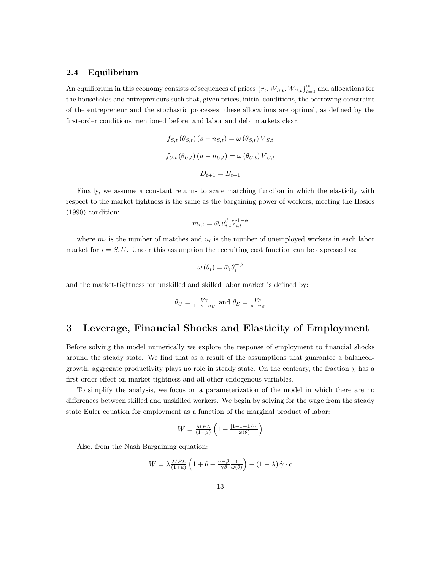#### 2.4 Equilibrium

An equilibrium in this economy consists of sequences of prices  ${r_t, W_{S,t}, W_{U,t}}_{t=0}^{\infty}$  and allocations for the households and entrepreneurs such that, given prices, initial conditions, the borrowing constraint of the entrepreneur and the stochastic processes, these allocations are optimal, as defined by the first-order conditions mentioned before, and labor and debt markets clear:

$$
f_{S,t}(\theta_{S,t}) (s - n_{S,t}) = \omega (\theta_{S,t}) V_{S,t}
$$

$$
f_{U,t}(\theta_{U,t}) (u - n_{U,t}) = \omega (\theta_{U,t}) V_{U,t}
$$

$$
D_{t+1} = B_{t+1}
$$

Finally, we assume a constant returns to scale matching function in which the elasticity with respect to the market tightness is the same as the bargaining power of workers, meeting the Hosios (1990) condition:

$$
m_{i,t} = \bar{\omega_i} u_{i,t}^{\phi} V_{i,t}^{1-\phi}
$$

where  $m_i$  is the number of matches and  $u_i$  is the number of unemployed workers in each labor market for  $i = S, U$ . Under this assumption the recruiting cost function can be expressed as:

$$
\omega(\theta_i) = \bar{\omega}_i \theta_i^{-\phi}
$$

and the market-tightness for unskilled and skilled labor market is defined by:

$$
\theta_U = \frac{V_U}{1 - s - n_U}
$$
 and  $\theta_S = \frac{V_S}{s - n_S}$ 

## 3 Leverage, Financial Shocks and Elasticity of Employment

Before solving the model numerically we explore the response of employment to financial shocks around the steady state. We find that as a result of the assumptions that guarantee a balancedgrowth, aggregate productivity plays no role in steady state. On the contrary, the fraction  $\chi$  has a first-order effect on market tightness and all other endogenous variables.

To simplify the analysis, we focus on a parameterization of the model in which there are no differences between skilled and unskilled workers. We begin by solving for the wage from the steady state Euler equation for employment as a function of the marginal product of labor:

$$
W = \frac{MPL}{(1+\mu)} \left( 1 + \frac{[1-x-1/\gamma]}{\omega(\theta)} \right)
$$

Also, from the Nash Bargaining equation:

$$
W = \lambda \frac{MPL}{(1+\mu)} \left( 1 + \theta + \frac{\gamma - \beta}{\gamma \beta} \frac{1}{\omega(\theta)} \right) + (1 - \lambda) \hat{\gamma} \cdot c
$$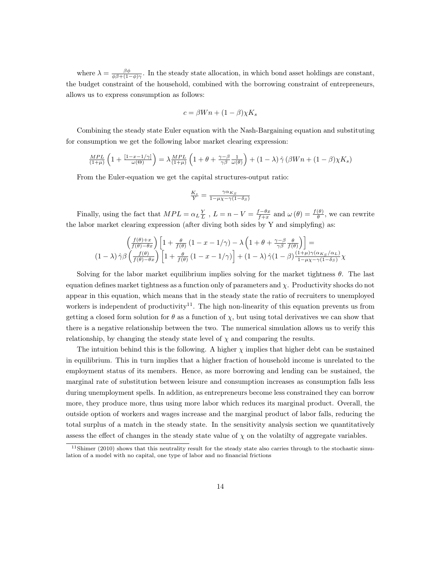where  $\lambda = \frac{\beta \phi}{\phi \beta + (1-\phi)\gamma}$ . In the steady state allocation, in which bond asset holdings are constant, the budget constraint of the household, combined with the borrowing constraint of entrepreneurs, allows us to express consumption as follows:

$$
c = \beta W n + (1 - \beta) \chi K_s
$$

Combining the steady state Euler equation with the Nash-Bargaining equation and substituting for consumption we get the following labor market clearing expression:

$$
\frac{MPL}{(1+\mu)}\left(1+\frac{[1-x-1/\gamma]}{\omega(\Theta)}\right)=\lambda\frac{MPL}{(1+\mu)}\left(1+\theta+\frac{\gamma-\beta}{\gamma\beta}\frac{1}{\omega(\theta)}\right)+(1-\lambda)\,\hat{\gamma}\left(\beta Wn+(1-\beta)\chi K_s\right)
$$

From the Euler-equation we get the capital structures-output ratio:

$$
\frac{K_s}{Y} = \frac{\gamma \alpha_{K_S}}{1 - \mu \chi - \gamma (1 - \delta_S)}
$$

Finally, using the fact that  $MPL = \alpha_L \frac{Y}{L}$ ,  $L = n - V = \frac{f - \theta_x}{f + x}$  and  $\omega(\theta) = \frac{f(\theta)}{\theta}$ , we can rewrite the labor market clearing expression (after diving both sides by Y and simplyfing) as:

$$
\begin{pmatrix}\n\frac{f(\theta)+x}{f(\theta)-\theta x}\n\end{pmatrix}\n\begin{bmatrix}\n1+\frac{\theta}{f(\theta)}(1-x-1/\gamma) - \lambda \left(1+\theta+\frac{\gamma-\beta}{\gamma\beta}\frac{\theta}{f(\theta)}\right)\n\end{bmatrix} =
$$
\n
$$
(1-\lambda)\hat{\gamma}\beta \begin{pmatrix}\n\frac{f(\theta)}{f(\theta)-\theta x}\n\end{pmatrix}\n\begin{bmatrix}\n1+\frac{\theta}{f(\theta)}(1-x-1/\gamma)\n\end{bmatrix} + (1-\lambda)\hat{\gamma}(1-\beta)\frac{(1+\mu)\gamma(\alpha_{K_S}/\alpha_L)}{1-\mu_X-\gamma(1-\delta_S)}\chi
$$

Solving for the labor market equilibrium implies solving for the market tightness  $\theta$ . The last equation defines market tightness as a function only of parameters and  $\chi$ . Productivity shocks do not appear in this equation, which means that in the steady state the ratio of recruiters to unemployed workers is independent of productivity<sup>11</sup>. The high non-linearity of this equation prevents us from getting a closed form solution for  $\theta$  as a function of  $\chi$ , but using total derivatives we can show that there is a negative relationship between the two. The numerical simulation allows us to verify this relationship, by changing the steady state level of  $\chi$  and comparing the results.

The intuition behind this is the following. A higher  $\chi$  implies that higher debt can be sustained in equilibrium. This in turn implies that a higher fraction of household income is unrelated to the employment status of its members. Hence, as more borrowing and lending can be sustained, the marginal rate of substitution between leisure and consumption increases as consumption falls less during unemployment spells. In addition, as entrepreneurs become less constrained they can borrow more, they produce more, thus using more labor which reduces its marginal product. Overall, the outside option of workers and wages increase and the marginal product of labor falls, reducing the total surplus of a match in the steady state. In the sensitivity analysis section we quantitatively assess the effect of changes in the steady state value of  $\chi$  on the volatilty of aggregate variables.

 $11$ Shimer (2010) shows that this neutrality result for the steady state also carries through to the stochastic simulation of a model with no capital, one type of labor and no financial frictions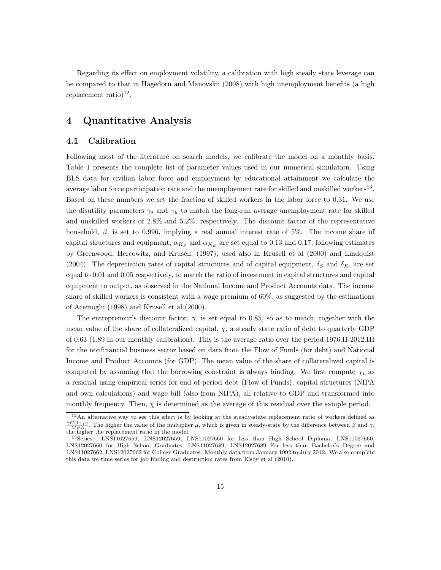Regarding its effect on employment volatility, a calibration with high steady state leverage can be compared to that in Hagedorn and Manovskii (2008) with high unemployment benefits (a high replacement ratio)<sup>12</sup>.

## 4 Quantitative Analysis

### 4.1 Calibration

Following most of the literature on search models, we calibrate the model on a monthly basis. Table 1 presents the complete list of parameter values used in our numerical simulation. Using BLS data for civilian labor force and employment by educational attainment we calculate the average labor force participation rate and the unemployment rate for skilled and unskilled workers<sup>13</sup>. Based on these numbers we set the fraction of skilled workers in the labor force to 0.31. We use the disutility parameters  $\gamma_s$  and  $\gamma_u$  to match the long-run average unemployment rate for skilled and unskilled workers of 2.8% and 5.2%, respectively. The discount factor of the representative household,  $\beta$ , is set to 0.996, implying a real annual interest rate of 5%. The income share of capital structures and equipment,  $\alpha_{K_S}$  and  $\alpha_{K_E}$  are set equal to 0.13 and 0.17, following estimates by Greenwood, Hercowitz, and Krusell, (1997), used also in Krusell et al (2000) and Lindquist (2004). The depreciation rates of capital structures and of capital equipment,  $\delta_S$  and  $\delta_E$ , are set equal to 0.01 and 0.05 respectively, to match the ratio of investment in capital structures and capital equipment to output, as observed in the National Income and Product Accounts data. The income share of skilled workers is consistent with a wage premium of 60%, as suggested by the estimations of Acemoglu (1998) and Krusell et al (2000).

The entrepreneur's discount factor,  $\gamma$ , is set equal to 0.85, so as to match, together with the mean value of the share of collateralized capital,  $\bar{\chi}$ , a steady state ratio of debt to quarterly GDP of 0.63 (1.89 in our monthly calibration). This is the average ratio over the period 1976.II-2012.III for the nonfinancial business sector based on data from the Flow of Funds (for debt) and National Income and Product Accounts (for GDP). The mean value of the share of collateralized capital is computed by assuming that the borrowing constraint is always binding. We first compute  $\chi_t$  as a residual using empirical series for end of period debt (Flow of Funds), capital structures (NIPA and own calculations) and wage bill (also from NIPA), all relative to GDP and transformed into monthly frequency. Then,  $\bar{\chi}$  is determined as the average of this residual over the sample period.

 $12$ An alternative way to see this effect is by looking at the steady-state replacement ratio of workers defined as  $\frac{\gamma C(1+\mu)}{MPL}$ . The higher the value of the multiplier  $\mu$ , which is given in steady-state by the difference between  $\beta$  and  $\gamma$ , the higher the replacement ratio in the model.

<sup>13</sup>Series: LNS11027659, LNS12027659, LNS11027660 for less than High School Diploma, LNS11027660, LNS12027660 for High School Graduates, LNS11027689, LNS12027689 For less than Bachelor's Degree and LNS11027662, LNS12027662 for College Graduates. Monthly data from January 1992 to July 2012. We also complete this data we time series for job finding and destruction rates from Elsby et al (2010).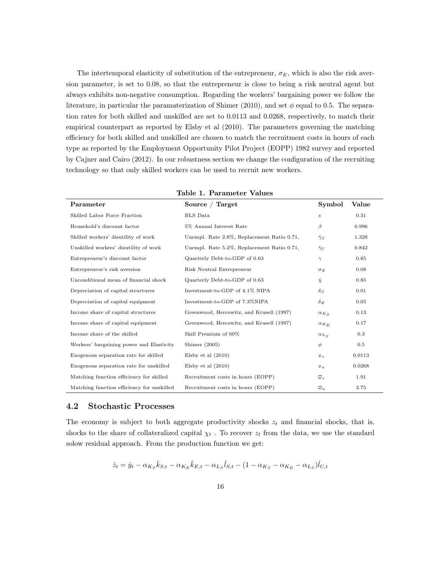The intertemporal elasticity of substitution of the entrepreneur,  $\sigma_E$ , which is also the risk aversion parameter, is set to 0.08, so that the entrepreneur is close to being a risk neutral agent but always exhibits non-negative consumption. Regarding the workers' bargaining power we follow the literature, in particular the paramaterization of Shimer (2010), and set  $\phi$  equal to 0.5. The separation rates for both skilled and unskilled are set to 0.0113 and 0.0268, respectively, to match their empirical counterpart as reported by Elsby et al (2010). The parameters governing the matching efficiency for both skilled and unskilled are chosen to match the recruitment costs in hours of each type as reported by the Employment Opportunity Pilot Project (EOPP) 1982 survey and reported by Cajner and Cairo (2012). In our robustness section we change the configuration of the recruiting technology so that only skilled workers can be used to recruit new workers.

| rabic 1: 1 di aliliceci                    |                                            |                       |        |  |  |  |  |
|--------------------------------------------|--------------------------------------------|-----------------------|--------|--|--|--|--|
| Parameter                                  | Source / Target                            | Symbol                | Value  |  |  |  |  |
| Skilled Labor Force Fraction               | <b>BLS</b> Data                            | $\boldsymbol{s}$      | 0.31   |  |  |  |  |
| Household's discount factor                | 5% Annual Interest Rate                    | β                     | 0.996  |  |  |  |  |
| Skilled workers' disutility of work        | Unempl. Rate 2.8%, Replacement Ratio 0.71, | $\hat{\gamma}_S$      | 1.328  |  |  |  |  |
| Unskilled workers' disutility of work      | Unempl. Rate 5.2%, Replacement Ratio 0.71, | $\hat{\gamma}_U$      | 0.842  |  |  |  |  |
| Entrepreneur's discount factor             | Quarterly Debt-to-GDP of 0.63              | $\gamma$              | 0.85   |  |  |  |  |
| Entrepreneur's risk aversion               | Risk Neutral Entrepreneur                  | $\sigma_E$            | 0.08   |  |  |  |  |
| Unconditional mean of financial shock      | Quarterly Debt-to-GDP of 0.63              | $\bar{\chi}$          | 0.85   |  |  |  |  |
| Depreciation of capital structures         | Investment-to-GDP of 4.1% NIPA             | $\delta_S$            | 0.01   |  |  |  |  |
| Depreciation of capital equipment          | Investment-to-GDP of 7.3%NIPA              | $\delta_E$            | 0.05   |  |  |  |  |
| Income share of capital structures         | Greenwood, Hercowitz, and Krusell (1997)   | $\alpha_{K_S}$        | 0.13   |  |  |  |  |
| Income share of capital equipment          | Greenwood, Hercowitz, and Krusell (1997)   | $\alpha_{K_E}$        | 0.17   |  |  |  |  |
| Income share of the skilled                | Skill Premium of 60%                       | $\alpha_{L_S}$        | 0.3    |  |  |  |  |
| Workers' bargaining power and Elasticity   | Shimer $(2005)$                            | $\phi$                | 0.5    |  |  |  |  |
| Exogenous separation rate for skilled      | Elsby et al $(2010)$                       | $x_{s}$               | 0.0113 |  |  |  |  |
| Exogenous separation rate for unskilled    | Elsby et al $(2010)$                       | $x_{u}$               | 0.0268 |  |  |  |  |
| Matching function efficiency for skilled   | Recruitment costs in hours (EOPP)          | $\overline{\omega}_s$ | 1.91   |  |  |  |  |
| Matching function efficiency for unskilled | Recruitment costs in hours (EOPP)          | $\overline{\omega}_u$ | 2.75   |  |  |  |  |

Table 1. Parameter Values

#### 4.2 Stochastic Processes

The economy is subject to both aggregate productivity shocks  $z_t$  and financial shocks, that is, shocks to the share of collateralized capital  $\chi_t$ . To recover  $z_t$  from the data, we use the standard solow residual approach. From the production function we get:

$$
\hat{z}_t = \hat{y}_t - \alpha_{K_S} \hat{k}_{S,t} - \alpha_{K_E} \hat{k}_{E,t} - \alpha_{L_S} \hat{l}_{S,t} - (1 - \alpha_{K_S} - \alpha_{K_E} - \alpha_{L_S}) \hat{l}_{U,t}
$$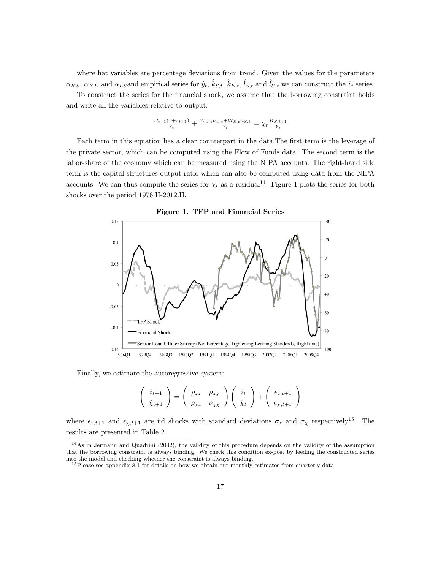where hat variables are percentage deviations from trend. Given the values for the parameters  $\alpha_{KS}$ ,  $\alpha_{KE}$  and  $\alpha_{LS}$  and empirical series for  $\hat{y}_t$ ,  $\hat{k}_{S,t}$ ,  $\hat{k}_{E,t}$ ,  $\hat{l}_{S,t}$  and  $\hat{l}_{U,t}$  we can construct the  $\hat{z}_t$  series.

To construct the series for the financial shock, we assume that the borrowing constraint holds and write all the variables relative to output:

$$
\tfrac{B_{t+1}(1+r_{t+1})}{Y_t} + \tfrac{W_{U,t} n_{U,t} + W_{S,t} n_{S,t}}{Y_t} = \chi_t \tfrac{K_{S,t+1}}{Y_t}
$$

Each term in this equation has a clear counterpart in the data.The first term is the leverage of the private sector, which can be computed using the Flow of Funds data. The second term is the labor-share of the economy which can be measured using the NIPA accounts. The right-hand side term is the capital structures-output ratio which can also be computed using data from the NIPA accounts. We can thus compute the series for  $\chi_t$  as a residual<sup>14</sup>. Figure 1 plots the series for both shocks over the period 1976.II-2012.II.



Figure 1. TFP and Financial Series

Finally, we estimate the autoregressive system:

$$
\begin{pmatrix} \hat{z}_{t+1} \\ \hat{\chi}_{t+1} \end{pmatrix} = \begin{pmatrix} \rho_{zz} & \rho_{z\chi} \\ \rho_{\chi z} & \rho_{\chi\chi} \end{pmatrix} \begin{pmatrix} \hat{z}_t \\ \hat{\chi}_t \end{pmatrix} + \begin{pmatrix} \epsilon_{z,t+1} \\ \epsilon_{\chi,t+1} \end{pmatrix}
$$

where  $\epsilon_{z,t+1}$  and  $\epsilon_{\chi,t+1}$  are iid shocks with standard deviations  $\sigma_z$  and  $\sigma_\chi$  respectively<sup>15</sup>. The results are presented in Table 2.

<sup>14</sup>As in Jermann and Quadrini (2002), the validity of this procedure depends on the validity of the assumption that the borrowing constraint is always binding. We check this condition ex-post by feeding the constructed series into the model and checking whether the constraint is always binding.

<sup>&</sup>lt;sup>15</sup>Please see appendix 8.1 for details on how we obtain our monthly estimates from quarterly data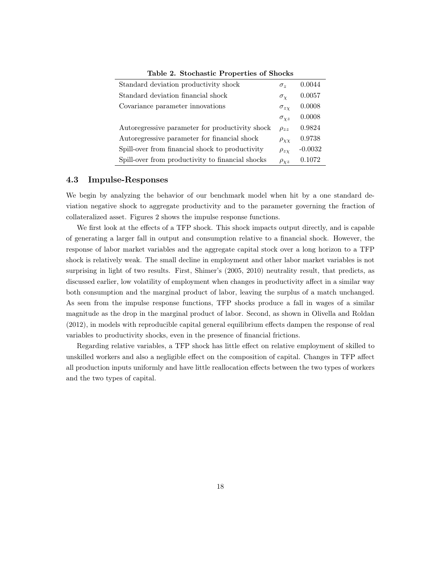| Standard deviation productivity shock            | $\sigma_{\gamma}$  | 0.0044    |
|--------------------------------------------------|--------------------|-----------|
| Standard deviation financial shock               | $\sigma_{\rm v}$   | 0.0057    |
| Covariance parameter innovations                 | $\sigma_{z\gamma}$ | 0.0008    |
|                                                  | $\sigma_{\chi z}$  | 0.0008    |
| Autoregressive parameter for productivity shock  | $\rho_{zz}$        | 0.9824    |
| Autoregressive parameter for financial shock     | $\rho_{XX}$        | 0.9738    |
| Spill-over from financial shock to productivity  | $\rho_{zx}$        | $-0.0032$ |
| Spill-over from productivity to financial shocks | $\rho_{\chi z}$    | 0.1072    |

Table 2. Stochastic Properties of Shocks

## 4.3 Impulse-Responses

We begin by analyzing the behavior of our benchmark model when hit by a one standard deviation negative shock to aggregate productivity and to the parameter governing the fraction of collateralized asset. Figures 2 shows the impulse response functions.

We first look at the effects of a TFP shock. This shock impacts output directly, and is capable of generating a larger fall in output and consumption relative to a financial shock. However, the response of labor market variables and the aggregate capital stock over a long horizon to a TFP shock is relatively weak. The small decline in employment and other labor market variables is not surprising in light of two results. First, Shimer's (2005, 2010) neutrality result, that predicts, as discussed earlier, low volatility of employment when changes in productivity affect in a similar way both consumption and the marginal product of labor, leaving the surplus of a match unchanged. As seen from the impulse response functions, TFP shocks produce a fall in wages of a similar magnitude as the drop in the marginal product of labor. Second, as shown in Olivella and Roldan (2012), in models with reproducible capital general equilibrium effects dampen the response of real variables to productivity shocks, even in the presence of financial frictions.

Regarding relative variables, a TFP shock has little effect on relative employment of skilled to unskilled workers and also a negligible effect on the composition of capital. Changes in TFP affect all production inputs uniformly and have little reallocation effects between the two types of workers and the two types of capital.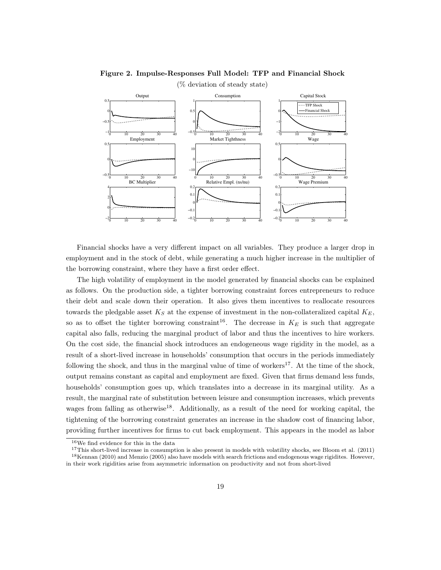

## Figure 2. Impulse-Responses Full Model: TFP and Financial Shock (% deviation of steady state)

Financial shocks have a very different impact on all variables. They produce a larger drop in employment and in the stock of debt, while generating a much higher increase in the multiplier of the borrowing constraint, where they have a first order effect.

The high volatility of employment in the model generated by financial shocks can be explained as follows. On the production side, a tighter borrowing constraint forces entrepreneurs to reduce their debt and scale down their operation. It also gives them incentives to reallocate resources towards the pledgable asset  $K_S$  at the expense of investment in the non-collateralized capital  $K_E$ , so as to offset the tighter borrowing constraint<sup>16</sup>. The decrease in  $K_E$  is such that aggregate capital also falls, reducing the marginal product of labor and thus the incentives to hire workers. On the cost side, the financial shock introduces an endogeneous wage rigidity in the model, as a result of a short-lived increase in households' consumption that occurs in the periods immediately following the shock, and thus in the marginal value of time of workers<sup>17</sup>. At the time of the shock, output remains constant as capital and employment are fixed. Given that firms demand less funds, households' consumption goes up, which translates into a decrease in its marginal utility. As a result, the marginal rate of substitution between leisure and consumption increases, which prevents wages from falling as otherwise<sup>18</sup>. Additionally, as a result of the need for working capital, the tightening of the borrowing constraint generates an increase in the shadow cost of financing labor, providing further incentives for firms to cut back employment. This appears in the model as labor

<sup>16</sup>We find evidence for this in the data

 $17$ This short-lived increase in consumption is also present in models with volatility shocks, see Bloom et al. (2011) <sup>18</sup>Kennan (2010) and Menzio (2005) also have models with search frictions and endogenous wage rigidites. However, in their work rigidities arise from asymmetric information on productivity and not from short-lived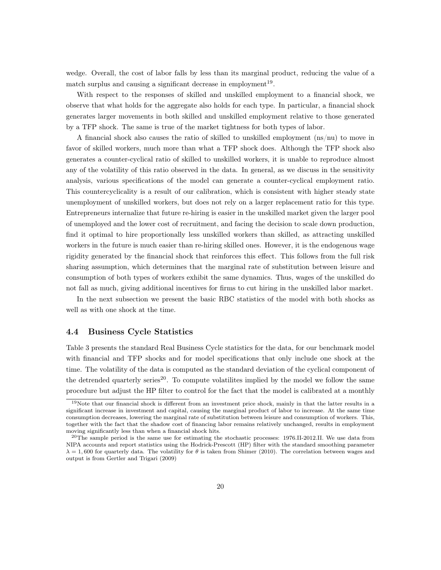wedge. Overall, the cost of labor falls by less than its marginal product, reducing the value of a match surplus and causing a significant decrease in employment<sup>19</sup>.

With respect to the responses of skilled and unskilled employment to a financial shock, we observe that what holds for the aggregate also holds for each type. In particular, a financial shock generates larger movements in both skilled and unskilled employment relative to those generated by a TFP shock. The same is true of the market tightness for both types of labor.

A financial shock also causes the ratio of skilled to unskilled employment (ns/nu) to move in favor of skilled workers, much more than what a TFP shock does. Although the TFP shock also generates a counter-cyclical ratio of skilled to unskilled workers, it is unable to reproduce almost any of the volatility of this ratio observed in the data. In general, as we discuss in the sensitivity analysis, various specifications of the model can generate a counter-cyclical employment ratio. This countercyclicality is a result of our calibration, which is consistent with higher steady state unemployment of unskilled workers, but does not rely on a larger replacement ratio for this type. Entrepreneurs internalize that future re-hiring is easier in the unskilled market given the larger pool of unemployed and the lower cost of recruitment, and facing the decision to scale down production, find it optimal to hire proportionally less unskilled workers than skilled, as attracting unskilled workers in the future is much easier than re-hiring skilled ones. However, it is the endogenous wage rigidity generated by the financial shock that reinforces this effect. This follows from the full risk sharing assumption, which determines that the marginal rate of substitution between leisure and consumption of both types of workers exhibit the same dynamics. Thus, wages of the unskilled do not fall as much, giving additional incentives for firms to cut hiring in the unskilled labor market.

In the next subsection we present the basic RBC statistics of the model with both shocks as well as with one shock at the time.

### 4.4 Business Cycle Statistics

Table 3 presents the standard Real Business Cycle statistics for the data, for our benchmark model with financial and TFP shocks and for model specifications that only include one shock at the time. The volatility of the data is computed as the standard deviation of the cyclical component of the detrended quarterly series<sup>20</sup>. To compute volatilites implied by the model we follow the same procedure but adjust the HP filter to control for the fact that the model is calibrated at a monthly

<sup>&</sup>lt;sup>19</sup>Note that our financial shock is different from an investment price shock, mainly in that the latter results in a significant increase in investment and capital, causing the marginal product of labor to increase. At the same time consumption decreases, lowering the marginal rate of substitution between leisure and consumption of workers. This, together with the fact that the shadow cost of financing labor remains relatively unchanged, results in employment moving significantly less than when a financial shock hits.

 $^{20}$ The sample period is the same use for estimating the stochastic processes: 1976.II-2012.II. We use data from NIPA accounts and report statistics using the Hodrick-Prescott (HP) filter with the standard smoothing parameter  $\lambda = 1,600$  for quarterly data. The volatility for  $\theta$  is taken from Shimer (2010). The correlation between wages and output is from Gertler and Trigari (2009)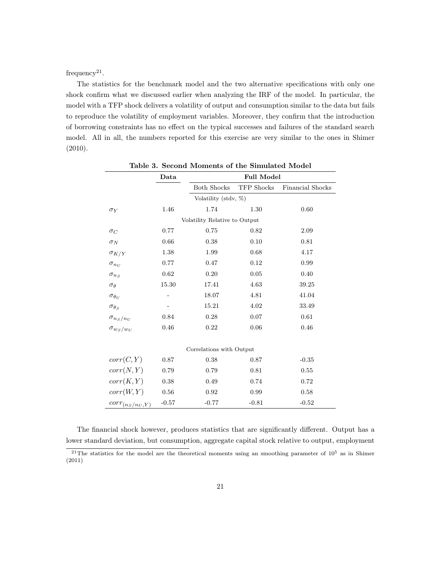frequency<sup>21</sup>.

The statistics for the benchmark model and the two alternative specifications with only one shock confirm what we discussed earlier when analyzing the IRF of the model. In particular, the model with a TFP shock delivers a volatility of output and consumption similar to the data but fails to reproduce the volatility of employment variables. Moreover, they confirm that the introduction of borrowing constraints has no effect on the typical successes and failures of the standard search model. All in all, the numbers reported for this exercise are very similar to the ones in Shimer (2010).

|                               | Data      | <b>Full Model</b>    |            |                         |  |  |  |
|-------------------------------|-----------|----------------------|------------|-------------------------|--|--|--|
|                               |           | <b>Both Shocks</b>   | TFP Shocks | <b>Financial Shocks</b> |  |  |  |
|                               |           | Volatility (stdv, %) |            |                         |  |  |  |
| $\sigma_Y$                    | 1.46      | 1.74                 | 1.30       | 0.60                    |  |  |  |
| Volatility Relative to Output |           |                      |            |                         |  |  |  |
| $\sigma_C$                    | 0.77      | 0.75                 | 0.82       | 2.09                    |  |  |  |
| $\sigma_N$                    | 0.66      | 0.38                 | 0.10       | 0.81                    |  |  |  |
| $\sigma_{K/Y}$                | 1.38      | 1.99                 | 0.68       | 4.17                    |  |  |  |
| $\sigma_{n_{II}}$             | 0.77      | 0.47                 | 0.12       | 0.99                    |  |  |  |
| $\sigma_{n,s}$                | 0.62      | 0.20                 | 0.05       | 0.40                    |  |  |  |
| $\sigma_{\theta}$             | $15.30\,$ | 17.41                | 4.63       | 39.25                   |  |  |  |
| $\sigma_{\theta_U}$           |           | 18.07                | 4.81       | 41.04                   |  |  |  |
| $\sigma_{\theta S}$           |           | 15.21                | 4.02       | 33.49                   |  |  |  |
| $\sigma_{n_S/n_U}$            | 0.84      | 0.28                 | 0.07       | 0.61                    |  |  |  |
| $\sigma_{w_S/w_U}$            | 0.46      | 0.22                 | 0.06       | 0.46                    |  |  |  |
|                               |           |                      |            |                         |  |  |  |
| Correlations with Output      |           |                      |            |                         |  |  |  |
| corr(C, Y)                    | 0.87      | 0.38                 | 0.87       | $-0.35$                 |  |  |  |
| corr(N, Y)                    | 0.79      | 0.79                 | 0.81       | 0.55                    |  |  |  |
| corr(K,Y)                     | 0.38      | 0.49                 | 0.74       | 0.72                    |  |  |  |
| corr(W, Y)                    | 0.56      | 0.92                 | 0.99       | 0.58                    |  |  |  |
| $corr_{(n_S/n_U, Y)}$         | $-0.57$   | $-0.77$              | $-0.81$    | $-0.52$                 |  |  |  |

Table 3. Second Moments of the Simulated Model

The financial shock however, produces statistics that are significantly different. Output has a lower standard deviation, but consumption, aggregate capital stock relative to output, employment

<sup>&</sup>lt;sup>21</sup>The statistics for the model are the theoretical moments using an smoothing parameter of  $10^5$  as in Shimer (2011)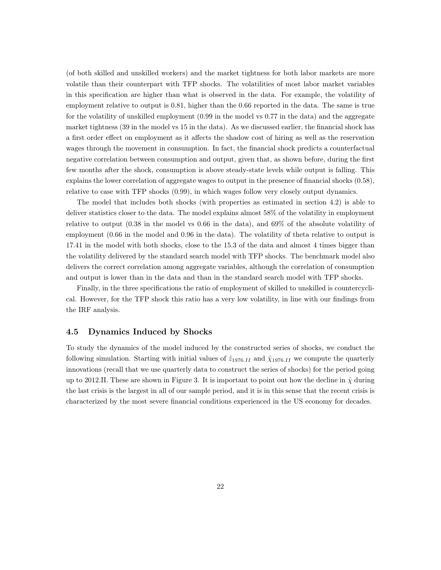(of both skilled and unskilled workers) and the market tightness for both labor markets are more volatile than their counterpart with TFP shocks. The volatilities of most labor market variables in this specification are higher than what is observed in the data. For example, the volatility of employment relative to output is 0.81, higher than the 0.66 reported in the data. The same is true for the volatility of unskilled employment (0.99 in the model vs 0.77 in the data) and the aggregate market tightness (39 in the model vs 15 in the data). As we discussed earlier, the financial shock has a first order effect on employment as it affects the shadow cost of hiring as well as the reservation wages through the movement in consumption. In fact, the financial shock predicts a counterfactual negative correlation between consumption and output, given that, as shown before, during the first few months after the shock, consumption is above steady-state levels while output is falling. This explains the lower correlation of aggregate wages to output in the presence of financial shocks (0.58), relative to case with TFP shocks (0.99), in which wages follow very closely output dynamics.

The model that includes both shocks (with properties as estimated in section 4.2) is able to deliver statistics closer to the data. The model explains almost 58% of the volatility in employment relative to output (0.38 in the model vs 0.66 in the data), and 69% of the absolute volatility of employment (0.66 in the model and 0.96 in the data). The volatility of theta relative to output is 17.41 in the model with both shocks, close to the 15.3 of the data and almost 4 times bigger than the volatility delivered by the standard search model with TFP shocks. The benchmark model also delivers the correct correlation among aggregate variables, although the correlation of consumption and output is lower than in the data and than in the standard search model with TFP shocks.

Finally, in the three specifications the ratio of employment of skilled to unskilled is countercyclical. However, for the TFP shock this ratio has a very low volatility, in line with our findings from the IRF analysis.

#### 4.5 Dynamics Induced by Shocks

To study the dynamics of the model induced by the constructed series of shocks, we conduct the following simulation. Starting with initial values of  $\hat{z}_{1976.II}$  and  $\hat{\chi}_{1976.II}$  we compute the quarterly innovations (recall that we use quarterly data to construct the series of shocks) for the period going up to 2012.II. These are shown in Figure 3. It is important to point out how the decline in  $\hat{\chi}$  during the last crisis is the largest in all of our sample period, and it is in this sense that the recent crisis is characterized by the most severe financial conditions experienced in the US economy for decades.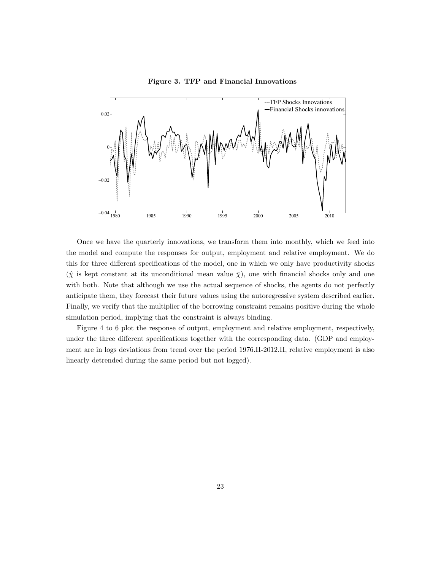

Figure 3. TFP and Financial Innovations

Once we have the quarterly innovations, we transform them into monthly, which we feed into the model and compute the responses for output, employment and relative employment. We do this for three different specifications of the model, one in which we only have productivity shocks  $(\hat{\chi})$  is kept constant at its unconditional mean value  $\bar{\chi}$ ), one with financial shocks only and one with both. Note that although we use the actual sequence of shocks, the agents do not perfectly anticipate them, they forecast their future values using the autoregressive system described earlier. Finally, we verify that the multiplier of the borrowing constraint remains positive during the whole simulation period, implying that the constraint is always binding.

Figure 4 to 6 plot the response of output, employment and relative employment, respectively, under the three different specifications together with the corresponding data. (GDP and employment are in logs deviations from trend over the period 1976.II-2012.II, relative employment is also linearly detrended during the same period but not logged).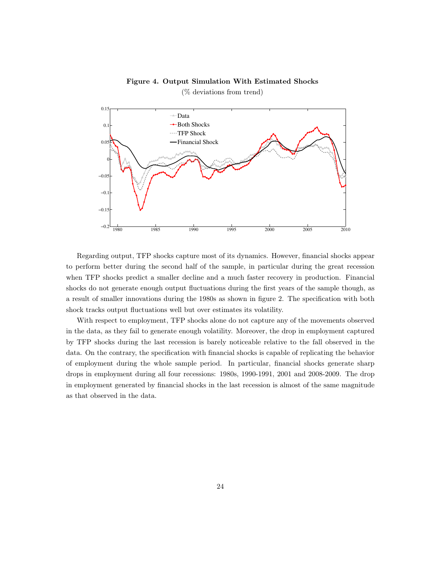#### Figure 4. Output Simulation With Estimated Shocks



(% deviations from trend)

Regarding output, TFP shocks capture most of its dynamics. However, financial shocks appear to perform better during the second half of the sample, in particular during the great recession when TFP shocks predict a smaller decline and a much faster recovery in production. Financial shocks do not generate enough output fluctuations during the first years of the sample though, as a result of smaller innovations during the 1980s as shown in figure 2. The specification with both shock tracks output fluctuations well but over estimates its volatility.

With respect to employment, TFP shocks alone do not capture any of the movements observed in the data, as they fail to generate enough volatility. Moreover, the drop in employment captured by TFP shocks during the last recession is barely noticeable relative to the fall observed in the data. On the contrary, the specification with financial shocks is capable of replicating the behavior of employment during the whole sample period. In particular, financial shocks generate sharp drops in employment during all four recessions: 1980s, 1990-1991, 2001 and 2008-2009. The drop in employment generated by financial shocks in the last recession is almost of the same magnitude as that observed in the data.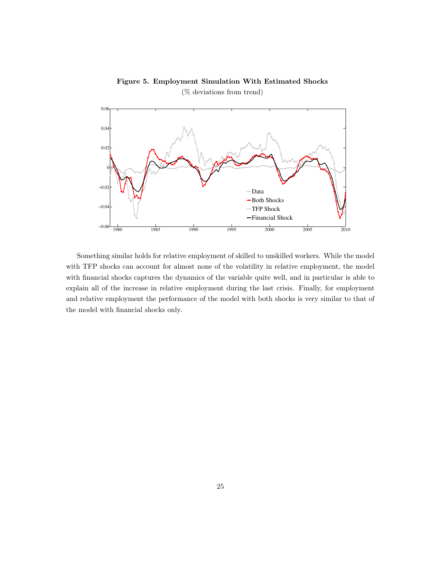

## Figure 5. Employment Simulation With Estimated Shocks (% deviations from trend)

Something similar holds for relative employment of skilled to unskilled workers. While the model with TFP shocks can account for almost none of the volatility in relative employment, the model with financial shocks captures the dynamics of the variable quite well, and in particular is able to explain all of the increase in relative employment during the last crisis. Finally, for employment and relative employment the performance of the model with both shocks is very similar to that of the model with financial shocks only.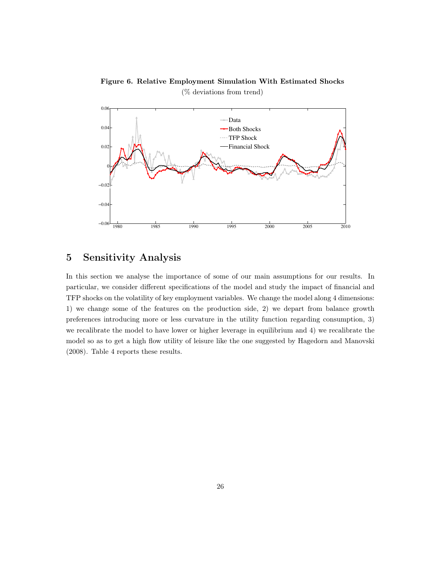

Figure 6. Relative Employment Simulation With Estimated Shocks (% deviations from trend)

## 5 Sensitivity Analysis

In this section we analyse the importance of some of our main assumptions for our results. In particular, we consider different specifications of the model and study the impact of financial and TFP shocks on the volatility of key employment variables. We change the model along 4 dimensions: 1) we change some of the features on the production side, 2) we depart from balance growth preferences introducing more or less curvature in the utility function regarding consumption, 3) we recalibrate the model to have lower or higher leverage in equilibrium and 4) we recalibrate the model so as to get a high flow utility of leisure like the one suggested by Hagedorn and Manovski (2008). Table 4 reports these results.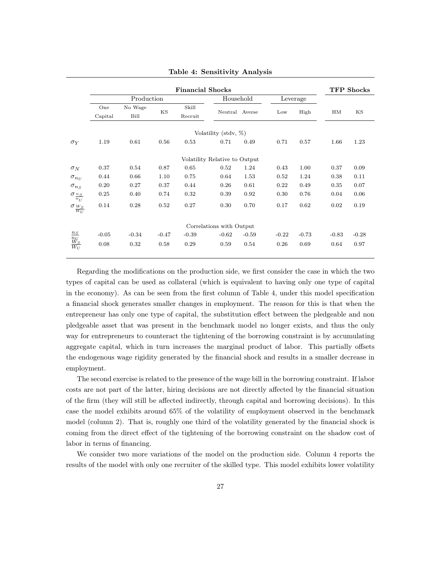|                                                 |            |         |         | <b>Financial Shocks</b> |                               |                |          |         |         | <b>TFP Shocks</b> |
|-------------------------------------------------|------------|---------|---------|-------------------------|-------------------------------|----------------|----------|---------|---------|-------------------|
|                                                 | Production |         |         |                         | Household                     |                | Leverage |         |         |                   |
|                                                 | One        | No Wage |         | Skill                   |                               |                |          |         |         |                   |
|                                                 | Capital    | Bill    | KS      | Recruit                 |                               | Neutral Averse | Low      | High    | HM      | ΚS                |
|                                                 |            |         |         |                         | Volatility (stdv, %)          |                |          |         |         |                   |
| $\sigma_Y$                                      | 1.19       | 0.61    | 0.56    | 0.53                    | 0.71                          | 0.49           | 0.71     | 0.57    | 1.66    | 1.23              |
|                                                 |            |         |         |                         | Volatility Relative to Output |                |          |         |         |                   |
| $\sigma_N$                                      | 0.37       | 0.54    | 0.87    | 0.65                    | 0.52                          | 1.24           | 0.43     | 1.00    | 0.37    | 0.09              |
| $\sigma_{n_U}$                                  | 0.44       | 0.66    | 1.10    | 0.75                    | 0.64                          | 1.53           | 0.52     | 1.24    | 0.38    | 0.11              |
| $\sigma_{n_S}$                                  | 0.20       | 0.27    | 0.37    | 0.44                    | 0.26                          | 0.61           | 0.22     | 0.49    | 0.35    | 0.07              |
| $\sigma_{\frac{n_S}{s}}$<br>$\overline{n_{IJ}}$ | 0.25       | 0.40    | 0.74    | 0.32                    | 0.39                          | 0.92           | 0.30     | 0.76    | 0.04    | 0.06              |
| $\sigma w_S$<br>$\overline{W_U}$                | 0.14       | 0.28    | 0.52    | 0.27                    | 0.30                          | 0.70           | 0.17     | 0.62    | 0.02    | 0.19              |
|                                                 |            |         |         |                         | Correlations with Output      |                |          |         |         |                   |
| $n_S$                                           | $-0.05$    | $-0.34$ | $-0.47$ | $-0.39$                 | $-0.62$                       | $-0.59$        | $-0.22$  | $-0.73$ | $-0.83$ | $-0.28$           |
| $\frac{n_U}{W_S}$                               | 0.08       | 0.32    | 0.58    | 0.29                    | 0.59                          | 0.54           | 0.26     | 0.69    | 0.64    | 0.97              |

Table 4: Sensitivity Analysis

Regarding the modifications on the production side, we first consider the case in which the two types of capital can be used as collateral (which is equivalent to having only one type of capital in the economy). As can be seen from the first column of Table 4, under this model specification a financial shock generates smaller changes in employment. The reason for this is that when the entrepreneur has only one type of capital, the substitution effect between the pledgeable and non pledgeable asset that was present in the benchmark model no longer exists, and thus the only way for entrepreneurs to counteract the tightening of the borrowing constraint is by accumulating aggregate capital, which in turn increases the marginal product of labor. This partially offsets the endogenous wage rigidity generated by the financial shock and results in a smaller decrease in employment.

The second exercise is related to the presence of the wage bill in the borrowing constraint. If labor costs are not part of the latter, hiring decisions are not directly affected by the financial situation of the firm (they will still be affected indirectly, through capital and borrowing decisions). In this case the model exhibits around 65% of the volatility of employment observed in the benchmark model (column 2). That is, roughly one third of the volatility generated by the financial shock is coming from the direct effect of the tightening of the borrowing constraint on the shadow cost of labor in terms of financing.

We consider two more variations of the model on the production side. Column 4 reports the results of the model with only one recruiter of the skilled type. This model exhibits lower volatility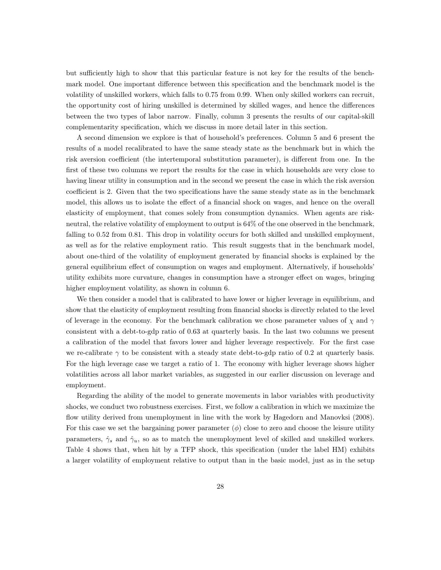but sufficiently high to show that this particular feature is not key for the results of the benchmark model. One important difference between this specification and the benchmark model is the volatility of unskilled workers, which falls to 0.75 from 0.99. When only skilled workers can recruit, the opportunity cost of hiring unskilled is determined by skilled wages, and hence the differences between the two types of labor narrow. Finally, column 3 presents the results of our capital-skill complementarity specification, which we discuss in more detail later in this section.

A second dimension we explore is that of household's preferences. Column 5 and 6 present the results of a model recalibrated to have the same steady state as the benchmark but in which the risk aversion coefficient (the intertemporal substitution parameter), is different from one. In the first of these two columns we report the results for the case in which households are very close to having linear utility in consumption and in the second we present the case in which the risk aversion coefficient is 2. Given that the two specifications have the same steady state as in the benchmark model, this allows us to isolate the effect of a financial shock on wages, and hence on the overall elasticity of employment, that comes solely from consumption dynamics. When agents are riskneutral, the relative volatility of employment to output is 64% of the one observed in the benchmark, falling to 0.52 from 0.81. This drop in volatility occurs for both skilled and unskilled employment, as well as for the relative employment ratio. This result suggests that in the benchmark model, about one-third of the volatility of employment generated by financial shocks is explained by the general equilibrium effect of consumption on wages and employment. Alternatively, if households' utility exhibits more curvature, changes in consumption have a stronger effect on wages, bringing higher employment volatility, as shown in column 6.

We then consider a model that is calibrated to have lower or higher leverage in equilibrium, and show that the elasticity of employment resulting from financial shocks is directly related to the level of leverage in the economy. For the benchmark calibration we chose parameter values of  $\chi$  and  $\gamma$ consistent with a debt-to-gdp ratio of 0.63 at quarterly basis. In the last two columns we present a calibration of the model that favors lower and higher leverage respectively. For the first case we re-calibrate  $\gamma$  to be consistent with a steady state debt-to-gdp ratio of 0.2 at quarterly basis. For the high leverage case we target a ratio of 1. The economy with higher leverage shows higher volatilities across all labor market variables, as suggested in our earlier discussion on leverage and employment.

Regarding the ability of the model to generate movements in labor variables with productivity shocks, we conduct two robustness exercises. First, we follow a calibration in which we maximize the flow utility derived from unemployment in line with the work by Hagedorn and Manovksi (2008). For this case we set the bargaining power parameter  $(\phi)$  close to zero and choose the leisure utility parameters,  $\hat{\gamma}_s$  and  $\hat{\gamma}_u$ , so as to match the unemployment level of skilled and unskilled workers. Table 4 shows that, when hit by a TFP shock, this specification (under the label HM) exhibits a larger volatility of employment relative to output than in the basic model, just as in the setup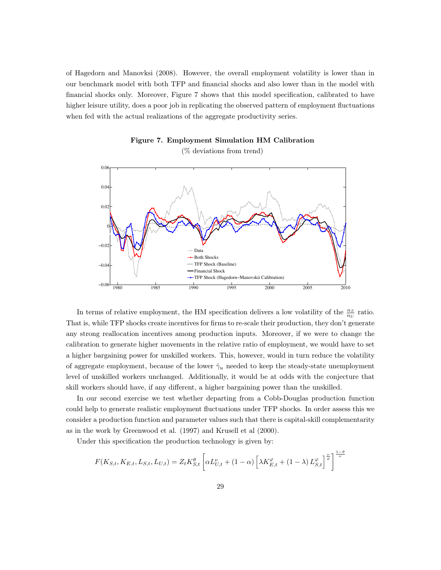of Hagedorn and Manovksi (2008). However, the overall employment volatility is lower than in our benchmark model with both TFP and financial shocks and also lower than in the model with financial shocks only. Moreover, Figure 7 shows that this model specification, calibrated to have higher leisure utility, does a poor job in replicating the observed pattern of employment fluctuations when fed with the actual realizations of the aggregate productivity series.



Figure 7. Employment Simulation HM Calibration

In terms of relative employment, the HM specification delivers a low volatility of the  $\frac{n_S}{n_U}$  ratio. That is, while TFP shocks create incentives for firms to re-scale their production, they don't generate any strong reallocation incentives among production inputs. Moreover, if we were to change the calibration to generate higher movements in the relative ratio of employment, we would have to set a higher bargaining power for unskilled workers. This, however, would in turn reduce the volatility of aggregate employment, because of the lower  $\hat{\gamma}_u$  needed to keep the steady-state unemployment level of unskilled workers unchanged. Additionally, it would be at odds with the conjecture that skill workers should have, if any different, a higher bargaining power than the unskilled.

In our second exercise we test whether departing from a Cobb-Douglas production function could help to generate realistic employment fluctuations under TFP shocks. In order assess this we consider a production function and parameter values such that there is capital-skill complementarity as in the work by Greenwood et al. (1997) and Krusell et al (2000).

Under this specification the production technology is given by:

$$
F(K_{S,t}, K_{E,t}, L_{S,t}, L_{U,t}) = Z_t K_{S,t}^{\theta} \left[ \alpha L_{U,t}^{\nu} + (1 - \alpha) \left[ \lambda K_{E,t}^{\varphi} + (1 - \lambda) L_{S,t}^{\varphi} \right]^{\frac{\nu}{\varphi}} \right]^{\frac{1 - \theta}{\nu}}
$$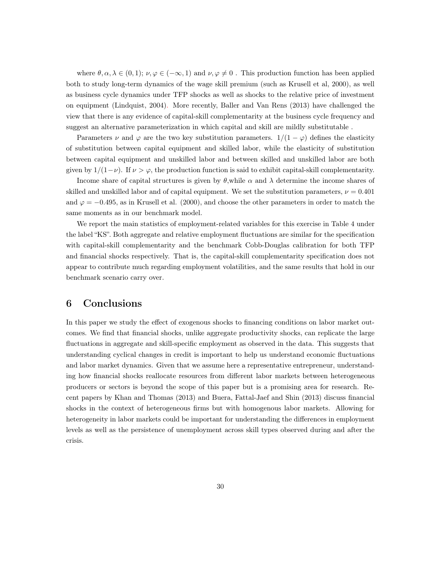where  $\theta, \alpha, \lambda \in (0, 1); \nu, \varphi \in (-\infty, 1)$  and  $\nu, \varphi \neq 0$ . This production function has been applied both to study long-term dynamics of the wage skill premium (such as Krusell et al, 2000), as well as business cycle dynamics under TFP shocks as well as shocks to the relative price of investment on equipment (Lindquist, 2004). More recently, Baller and Van Rens (2013) have challenged the view that there is any evidence of capital-skill complementarity at the business cycle frequency and suggest an alternative parameterization in which capital and skill are mildly substitutable .

Parameters  $\nu$  and  $\varphi$  are the two key substitution parameters.  $1/(1 - \varphi)$  defines the elasticity of substitution between capital equipment and skilled labor, while the elasticity of substitution between capital equipment and unskilled labor and between skilled and unskilled labor are both given by  $1/(1-\nu)$ . If  $\nu > \varphi$ , the production function is said to exhibit capital-skill complementarity.

Income share of capital structures is given by  $\theta$ , while  $\alpha$  and  $\lambda$  determine the income shares of skilled and unskilled labor and of capital equipment. We set the substitution parameters,  $\nu = 0.401$ and  $\varphi = -0.495$ , as in Krusell et al. (2000), and choose the other parameters in order to match the same moments as in our benchmark model.

We report the main statistics of employment-related variables for this exercise in Table 4 under the label "KS". Both aggregate and relative employment fluctuations are similar for the specification with capital-skill complementarity and the benchmark Cobb-Douglas calibration for both TFP and financial shocks respectively. That is, the capital-skill complementarity specification does not appear to contribute much regarding employment volatilities, and the same results that hold in our benchmark scenario carry over.

## 6 Conclusions

In this paper we study the effect of exogenous shocks to financing conditions on labor market outcomes. We find that financial shocks, unlike aggregate productivity shocks, can replicate the large fluctuations in aggregate and skill-specific employment as observed in the data. This suggests that understanding cyclical changes in credit is important to help us understand economic fluctuations and labor market dynamics. Given that we assume here a representative entrepreneur, understanding how financial shocks reallocate resources from different labor markets between heterogeneous producers or sectors is beyond the scope of this paper but is a promising area for research. Recent papers by Khan and Thomas (2013) and Buera, Fattal-Jaef and Shin (2013) discuss financial shocks in the context of heterogeneous firms but with homogenous labor markets. Allowing for heterogeneity in labor markets could be important for understanding the differences in employment levels as well as the persistence of unemployment across skill types observed during and after the crisis.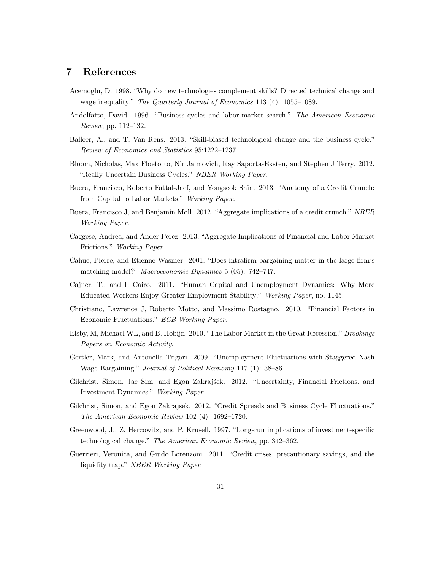## 7 References

- Acemoglu, D. 1998. "Why do new technologies complement skills? Directed technical change and wage inequality." The Quarterly Journal of Economics 113 (4): 1055-1089.
- Andolfatto, David. 1996. "Business cycles and labor-market search." The American Economic Review, pp. 112–132.
- Balleer, A., and T. Van Rens. 2013. "Skill-biased technological change and the business cycle." Review of Economics and Statistics 95:1222–1237.
- Bloom, Nicholas, Max Floetotto, Nir Jaimovich, Itay Saporta-Eksten, and Stephen J Terry. 2012. "Really Uncertain Business Cycles." NBER Working Paper.
- Buera, Francisco, Roberto Fattal-Jaef, and Yongseok Shin. 2013. "Anatomy of a Credit Crunch: from Capital to Labor Markets." Working Paper.
- Buera, Francisco J, and Benjamin Moll. 2012. "Aggregate implications of a credit crunch." NBER Working Paper.
- Caggese, Andrea, and Ander Perez. 2013. "Aggregate Implications of Financial and Labor Market Frictions." Working Paper.
- Cahuc, Pierre, and Etienne Wasmer. 2001. "Does intrafirm bargaining matter in the large firm's matching model?" *Macroeconomic Dynamics* 5 (05): 742–747.
- Cajner, T., and I. Cairo. 2011. "Human Capital and Unemployment Dynamics: Why More Educated Workers Enjoy Greater Employment Stability." Working Paper, no. 1145.
- Christiano, Lawrence J, Roberto Motto, and Massimo Rostagno. 2010. "Financial Factors in Economic Fluctuations." ECB Working Paper.
- Elsby, M, Michael WL, and B. Hobijn. 2010. "The Labor Market in the Great Recession." Brookings Papers on Economic Activity.
- Gertler, Mark, and Antonella Trigari. 2009. "Unemployment Fluctuations with Staggered Nash Wage Bargaining." Journal of Political Economy 117 (1): 38–86.
- Gilchrist, Simon, Jae Sim, and Egon Zakrajśek. 2012. "Uncertainty, Financial Frictions, and Investment Dynamics." Working Paper.
- Gilchrist, Simon, and Egon Zakrajsek. 2012. "Credit Spreads and Business Cycle Fluctuations." The American Economic Review 102 (4): 1692–1720.
- Greenwood, J., Z. Hercowitz, and P. Krusell. 1997. "Long-run implications of investment-specific technological change." The American Economic Review, pp. 342–362.
- Guerrieri, Veronica, and Guido Lorenzoni. 2011. "Credit crises, precautionary savings, and the liquidity trap." NBER Working Paper.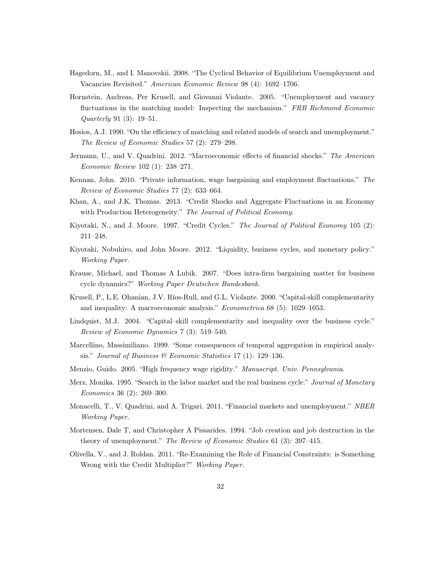- Hagedorn, M., and I. Manovskii. 2008. "The Cyclical Behavior of Equilibrium Unemployment and Vacancies Revisited." American Economic Review 98 (4): 1692–1706.
- Hornstein, Andreas, Per Krusell, and Giovanni Violante. 2005. "Unemployment and vacancy fluctuations in the matching model: Inspecting the mechanism." FRB Richmond Economic Quarterly 91 (3): 19–51.
- Hosios, A.J. 1990. "On the efficiency of matching and related models of search and unemployment." The Review of Economic Studies 57 (2): 279–298.
- Jermann, U., and V. Quadrini. 2012. "Macroeconomic effects of financial shocks." The American Economic Review 102 (1): 238–271.
- Kennan, John. 2010. "Private information, wage bargaining and employment fluctuations." The Review of Economic Studies 77 (2): 633–664.
- Khan, A., and J.K. Thomas. 2013. "Credit Shocks and Aggregate Fluctuations in an Economy with Production Heterogeneity." The Journal of Political Economy.
- Kiyotaki, N., and J. Moore. 1997. "Credit Cycles." The Journal of Political Economy 105 (2): 211–248.
- Kiyotaki, Nobuhiro, and John Moore. 2012. "Liquidity, business cycles, and monetary policy." Working Paper.
- Krause, Michael, and Thomas A Lubik. 2007. "Does intra-firm bargaining matter for business cycle dynamics?" Working Paper Deutschen Bundesbank.
- Krusell, P., L.E. Ohanian, J.V. Ríos-Rull, and G.L. Violante. 2000. "Capital-skill complementarity and inequality: A macroeconomic analysis." Econometrica 68 (5): 1029–1053.
- Lindquist, M.J. 2004. "Capital–skill complementarity and inequality over the business cycle." Review of Economic Dynamics 7 (3): 519–540.
- Marcellino, Massimiliano. 1999. "Some consequences of temporal aggregation in empirical analysis." Journal of Business  $\mathcal C$  Economic Statistics 17 (1): 129–136.
- Menzio, Guido. 2005. "High frequency wage rigidity." Manuscript. Univ. Pennsylvania.
- Merz, Monika. 1995. "Search in the labor market and the real business cycle." Journal of Monetary Economics 36 (2): 269–300.
- Monacelli, T., V. Quadrini, and A. Trigari. 2011. "Financial markets and unemployment." NBER Working Paper.
- Mortensen, Dale T, and Christopher A Pissarides. 1994. "Job creation and job destruction in the theory of unemployment." The Review of Economic Studies 61 (3): 397–415.
- Olivella, V., and J. Roldan. 2011. "Re-Examining the Role of Financial Constraints: is Something Wrong with the Credit Multiplier?" Working Paper.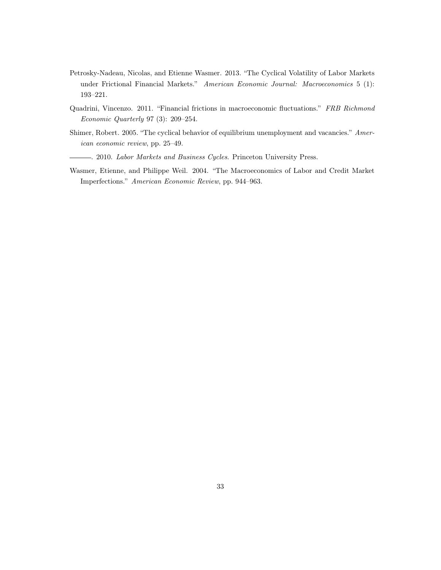- Petrosky-Nadeau, Nicolas, and Etienne Wasmer. 2013. "The Cyclical Volatility of Labor Markets under Frictional Financial Markets." American Economic Journal: Macroeconomics 5 (1): 193–221.
- Quadrini, Vincenzo. 2011. "Financial frictions in macroeconomic fluctuations." FRB Richmond Economic Quarterly 97 (3): 209–254.
- Shimer, Robert. 2005. "The cyclical behavior of equilibrium unemployment and vacancies." American economic review, pp. 25–49.
- . 2010. Labor Markets and Business Cycles. Princeton University Press.
- Wasmer, Etienne, and Philippe Weil. 2004. "The Macroeconomics of Labor and Credit Market Imperfections." American Economic Review, pp. 944–963.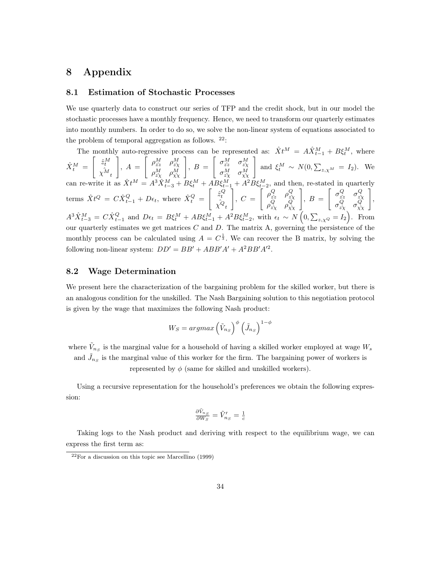## 8 Appendix

#### 8.1 Estimation of Stochastic Processes

We use quarterly data to construct our series of TFP and the credit shock, but in our model the stochastic processes have a monthly frequency. Hence, we need to transform our quarterly estimates into monthly numbers. In order to do so, we solve the non-linear system of equations associated to the problem of temporal aggregation as follows.  $22$ :

The monthly auto-regressive process can be represented as:  $\hat{X}t^M = A\hat{X}^M_{t-1} + B\xi^M_t$ , where  $\hat{X}^M_t =$  $\left[ \begin{array}{c} \hat{z}_t^M \\ \hat{\chi^M}_t \end{array} \right]$ 1  $, A =$  $\begin{bmatrix} \rho_{\hat{z}z}^M & \rho_{\hat{z}\hat{\chi}}^M \end{bmatrix}$  $\rho_{\hat{z}\hat{\chi}}^{M}$   $\rho_{\hat{\chi}\hat{\chi}}^{M}$ 1  $, B =$  $\left[ \begin{array}{cc} \sigma_{\hat{z}\hat{z}}^{M} & \sigma_{z\hat{\chi}}^{M} \end{array} \right]$  $\sigma_{z\hat{\chi}}^{M}$   $\sigma_{\hat{\chi}\hat{\chi}}^{M}$ 1 and  $\xi_t^M \sim N(0, \sum_{z,\chi^M} = I_2)$ . We can re-write it as  $\hat{X}t^M = A^3 \hat{X}_{t-3}^M + B \xi_t^M + AB \xi_{t-1}^M + A^2 B \xi_{t-2}^M$ , and then, re-stated in quarterly terms  $\hat{X}t^{Q} = C \hat{X}_{t-1}^{Q} + D\epsilon_{t}$ , where  $\hat{X}_{t}^{Q} =$  $\left[ \begin{array}{c} \hat{z}_t^Q \\ \hat{ \chi^Q}_t \end{array} \right]$ 1  $, C =$  $\left[ \begin{array}{cc} \rho_{\hat{z}z}^Q & \rho_{\hat{z}\hat{\chi}}^Q \end{array} \right]$  $\rho_{\hat{z}\hat{\chi}}^{Q}$   $\rho_{\hat{\chi}\hat{\chi}}^{Q}$ 1  $, B =$  $\begin{bmatrix} \sigma_{\hat{z}z}^Q & \sigma_{\hat{z}\hat{\chi}}^Q \end{bmatrix}$  $\sigma_{z\hat{\chi}}^{Q}$   $\sigma_{\hat{\chi}\hat{\chi}}^{Q}$ 1 ,  $A^3 \hat{X}_{t-3}^M = C \hat{X}_{t-1}^Q$  and  $D\epsilon_t = B\xi_t^M + AB\xi_{t-1}^M + A^2B\xi_{t-2}^M$ , with  $\epsilon_t \sim N\left(0, \sum_{z,\chi^Q} = I_2\right)$ . From our quarterly estimates we get matrices  $C$  and  $D$ . The matrix  $A$ , governing the persistence of the monthly process can be calculated using  $A = C^{\frac{1}{3}}$ . We can recover the B matrix, by solving the following non-linear system:  $DD' = BB' + ABB'A' + A^2BB'A'^2$ .

#### 8.2 Wage Determination

We present here the characterization of the bargaining problem for the skilled worker, but there is an analogous condition for the unskilled. The Nash Bargaining solution to this negotiation protocol is given by the wage that maximizes the following Nash product:

$$
W_S = argmax\left(\tilde{V}_{n_S}\right)^{\phi} \left(\tilde{J}_{n_S}\right)^{1-\phi}
$$

where  $\tilde{V}_{n_S}$  is the marginal value for a household of having a skilled worker employed at wage  $W_s$ and  $\tilde{J}_{n_S}$  is the marginal value of this worker for the firm. The bargaining power of workers is represented by  $\phi$  (same for skilled and unskilled workers).

Using a recursive representation for the household's preferences we obtain the following expression:

$$
\frac{\partial \tilde{V}_{n_S}}{\partial W_S} = \tilde{V}'_{n_S} = \frac{1}{c}
$$

Taking logs to the Nash product and deriving with respect to the equilibrium wage, we can express the first term as:

 $22$ For a discussion on this topic see Marcellino (1999)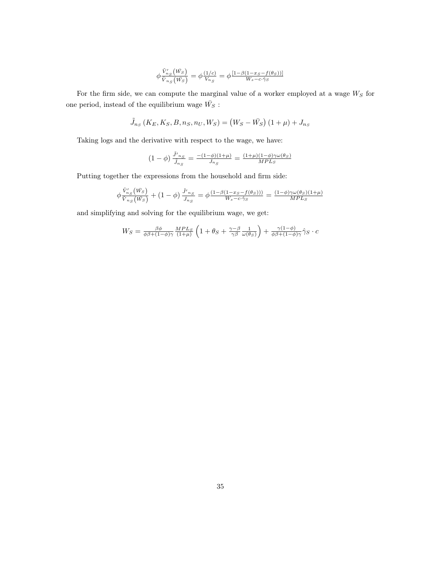$$
\phi \frac{\tilde{V}_{n_S}'(\bar{W}_S)}{\tilde{V}_{n_S}(\bar{W}_S)} = \phi \frac{(1/c)}{V_{n_S}} = \phi \frac{[1-\beta(1-x_S-f(\theta_S))]}{W_s - c \cdot \hat{\gamma}_S}
$$

For the firm side, we can compute the marginal value of a worker employed at a wage  $W_S$  for one period, instead of the equilibrium wage  $\bar{W_S}$ :

$$
\tilde{J}_{n_S} (K_E, K_S, B, n_S, n_U, W_S) = (W_S - \bar{W_S}) (1 + \mu) + J_{n_S}
$$

Taking logs and the derivative with respect to the wage, we have:

$$
(1 - \phi) \frac{\tilde{J'}_{n_S}}{\tilde{J}_{n_S}} = \frac{-(1 - \phi)(1 + \mu)}{J_{n_S}} = \frac{(1 + \mu)(1 - \phi)\gamma\omega(\theta_S)}{MPL_S}
$$

Putting together the expressions from the household and firm side:

$$
\phi \frac{\tilde{V}'_{n_S}(\bar{W}_S)}{\tilde{V}_{n_S}(\bar{W}_S)} + (1 - \phi) \frac{\tilde{J'}_{n_S}}{\tilde{J}_{n_S}} = \phi \frac{(1 - \beta(1 - x_S - f(\theta_S)))}{W_s - c \cdot \hat{\gamma}_S} = \frac{(1 - \phi)\gamma \omega(\theta_S)(1 + \mu)}{MPL_S}
$$

and simplifying and solving for the equilibrium wage, we get:

$$
W_S = \frac{\beta \phi}{\phi \beta + (1 - \phi)\gamma} \frac{MPL_S}{(1 + \mu)} \left( 1 + \theta_S + \frac{\gamma - \beta}{\gamma \beta} \frac{1}{\omega(\theta_S)} \right) + \frac{\gamma(1 - \phi)}{\phi \beta + (1 - \phi)\gamma} \hat{\gamma}_S \cdot c
$$